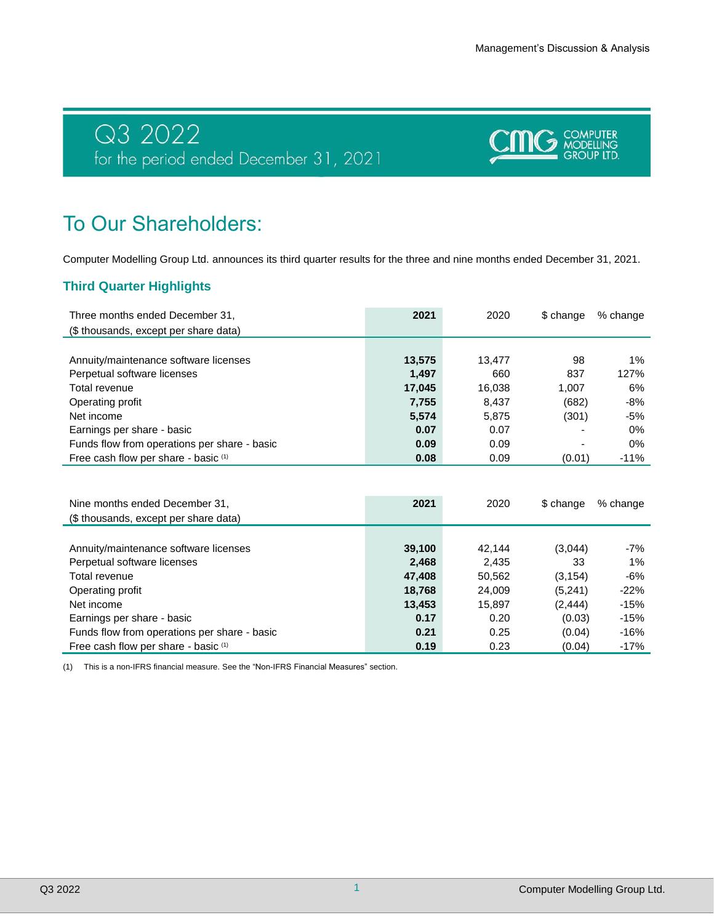# Q3 2022<br>for the period ended December 31, 2021



# To Our Shareholders:

Computer Modelling Group Ltd. announces its third quarter results for the three and nine months ended December 31, 2021.

# **Third Quarter Highlights**

| Three months ended December 31,<br>(\$ thousands, except per share data) | 2021   | 2020   | \$ change                | % change |
|--------------------------------------------------------------------------|--------|--------|--------------------------|----------|
|                                                                          |        |        |                          |          |
| Annuity/maintenance software licenses                                    | 13,575 | 13.477 | 98                       | $1\%$    |
| Perpetual software licenses                                              | 1,497  | 660    | 837                      | 127%     |
| Total revenue                                                            | 17,045 | 16.038 | 1.007                    | 6%       |
| Operating profit                                                         | 7,755  | 8,437  | (682)                    | -8%      |
| Net income                                                               | 5,574  | 5,875  | (301)                    | -5%      |
| Earnings per share - basic                                               | 0.07   | 0.07   | $\overline{\phantom{0}}$ | $0\%$    |
| Funds flow from operations per share - basic                             | 0.09   | 0.09   |                          | 0%       |
| Free cash flow per share - basic (1)                                     | 0.08   | 0.09   | (0.01)                   | $-11%$   |

| Nine months ended December 31,<br>(\$ thousands, except per share data) | 2021   | 2020   | \$ change | % change |
|-------------------------------------------------------------------------|--------|--------|-----------|----------|
|                                                                         |        |        |           |          |
| Annuity/maintenance software licenses                                   | 39,100 | 42.144 | (3,044)   | -7%      |
| Perpetual software licenses                                             | 2,468  | 2.435  | 33        | $1\%$    |
| Total revenue                                                           | 47,408 | 50,562 | (3, 154)  | -6%      |
| Operating profit                                                        | 18,768 | 24.009 | (5,241)   | $-22%$   |
| Net income                                                              | 13,453 | 15.897 | (2, 444)  | $-15%$   |
| Earnings per share - basic                                              | 0.17   | 0.20   | (0.03)    | $-15%$   |
| Funds flow from operations per share - basic                            | 0.21   | 0.25   | (0.04)    | -16%     |
| Free cash flow per share - basic (1)                                    | 0.19   | 0.23   | (0.04)    | $-17%$   |

(1) This is a non-IFRS financial measure. See the "Non-IFRS Financial Measures" section.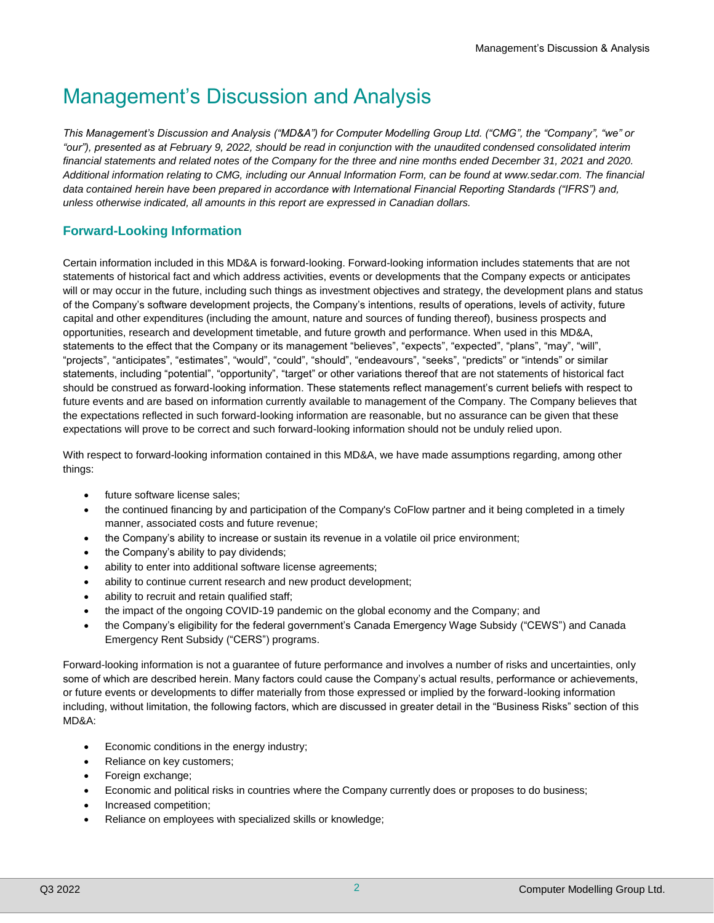# Management's Discussion and Analysis

*This Management's Discussion and Analysis ("MD&A") for Computer Modelling Group Ltd. ("CMG", the "Company", "we" or "our"), presented as at February 9, 2022, should be read in conjunction with the unaudited condensed consolidated interim financial statements and related notes of the Company for the three and nine months ended December 31, 2021 and 2020. Additional information relating to CMG, including our Annual Information Form, can be found at www.sedar.com. The financial data contained herein have been prepared in accordance with International Financial Reporting Standards ("IFRS") and, unless otherwise indicated, all amounts in this report are expressed in Canadian dollars.*

# **Forward-Looking Information**

Certain information included in this MD&A is forward-looking. Forward-looking information includes statements that are not statements of historical fact and which address activities, events or developments that the Company expects or anticipates will or may occur in the future, including such things as investment objectives and strategy, the development plans and status of the Company's software development projects, the Company's intentions, results of operations, levels of activity, future capital and other expenditures (including the amount, nature and sources of funding thereof), business prospects and opportunities, research and development timetable, and future growth and performance. When used in this MD&A, statements to the effect that the Company or its management "believes", "expects", "expected", "plans", "may", "will", "projects", "anticipates", "estimates", "would", "could", "should", "endeavours", "seeks", "predicts" or "intends" or similar statements, including "potential", "opportunity", "target" or other variations thereof that are not statements of historical fact should be construed as forward-looking information. These statements reflect management's current beliefs with respect to future events and are based on information currently available to management of the Company. The Company believes that the expectations reflected in such forward-looking information are reasonable, but no assurance can be given that these expectations will prove to be correct and such forward-looking information should not be unduly relied upon.

With respect to forward-looking information contained in this MD&A, we have made assumptions regarding, among other things:

- future software license sales;
- the continued financing by and participation of the Company's CoFlow partner and it being completed in a timely manner, associated costs and future revenue;
- the Company's ability to increase or sustain its revenue in a volatile oil price environment;
- the Company's ability to pay dividends;
- ability to enter into additional software license agreements;
- ability to continue current research and new product development;
- ability to recruit and retain qualified staff;
- the impact of the ongoing COVID-19 pandemic on the global economy and the Company; and
- the Company's eligibility for the federal government's Canada Emergency Wage Subsidy ("CEWS") and Canada Emergency Rent Subsidy ("CERS") programs.

Forward-looking information is not a guarantee of future performance and involves a number of risks and uncertainties, only some of which are described herein. Many factors could cause the Company's actual results, performance or achievements, or future events or developments to differ materially from those expressed or implied by the forward-looking information including, without limitation, the following factors, which are discussed in greater detail in the "Business Risks" section of this MD&A:

- Economic conditions in the energy industry;
- Reliance on key customers;
- Foreign exchange;
- Economic and political risks in countries where the Company currently does or proposes to do business;
- Increased competition;
- Reliance on employees with specialized skills or knowledge;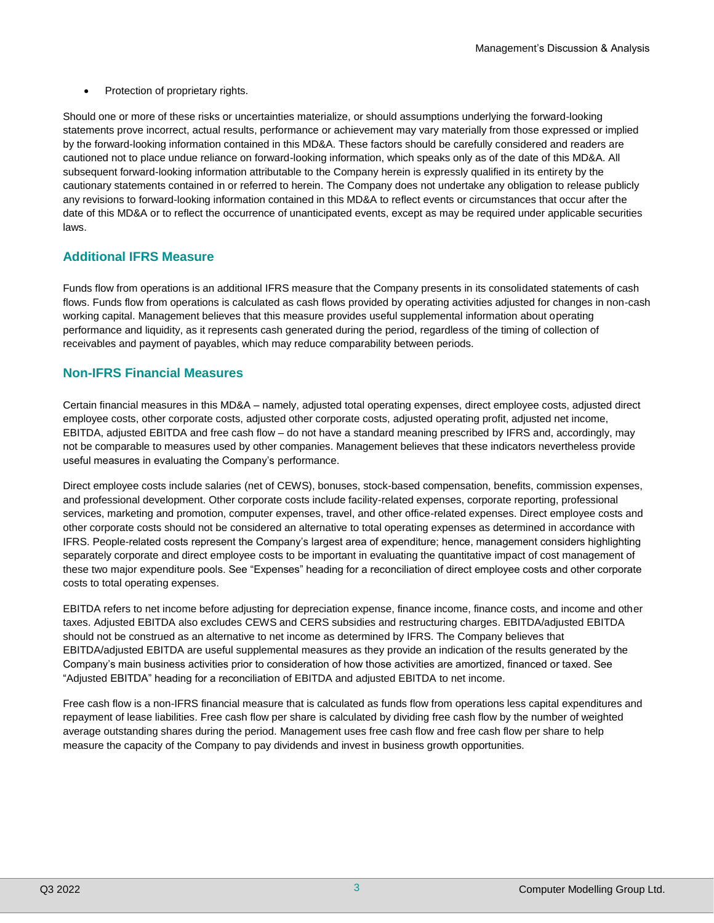• Protection of proprietary rights.

Should one or more of these risks or uncertainties materialize, or should assumptions underlying the forward-looking statements prove incorrect, actual results, performance or achievement may vary materially from those expressed or implied by the forward-looking information contained in this MD&A. These factors should be carefully considered and readers are cautioned not to place undue reliance on forward-looking information, which speaks only as of the date of this MD&A. All subsequent forward-looking information attributable to the Company herein is expressly qualified in its entirety by the cautionary statements contained in or referred to herein. The Company does not undertake any obligation to release publicly any revisions to forward-looking information contained in this MD&A to reflect events or circumstances that occur after the date of this MD&A or to reflect the occurrence of unanticipated events, except as may be required under applicable securities laws.

# **Additional IFRS Measure**

Funds flow from operations is an additional IFRS measure that the Company presents in its consolidated statements of cash flows. Funds flow from operations is calculated as cash flows provided by operating activities adjusted for changes in non-cash working capital. Management believes that this measure provides useful supplemental information about operating performance and liquidity, as it represents cash generated during the period, regardless of the timing of collection of receivables and payment of payables, which may reduce comparability between periods.

# **Non-IFRS Financial Measures**

Certain financial measures in this MD&A – namely, adjusted total operating expenses, direct employee costs, adjusted direct employee costs, other corporate costs, adjusted other corporate costs, adjusted operating profit, adjusted net income, EBITDA, adjusted EBITDA and free cash flow – do not have a standard meaning prescribed by IFRS and, accordingly, may not be comparable to measures used by other companies. Management believes that these indicators nevertheless provide useful measures in evaluating the Company's performance.

Direct employee costs include salaries (net of CEWS), bonuses, stock-based compensation, benefits, commission expenses, and professional development. Other corporate costs include facility-related expenses, corporate reporting, professional services, marketing and promotion, computer expenses, travel, and other office-related expenses. Direct employee costs and other corporate costs should not be considered an alternative to total operating expenses as determined in accordance with IFRS. People-related costs represent the Company's largest area of expenditure; hence, management considers highlighting separately corporate and direct employee costs to be important in evaluating the quantitative impact of cost management of these two major expenditure pools. See "Expenses" heading for a reconciliation of direct employee costs and other corporate costs to total operating expenses.

EBITDA refers to net income before adjusting for depreciation expense, finance income, finance costs, and income and other taxes. Adjusted EBITDA also excludes CEWS and CERS subsidies and restructuring charges. EBITDA/adjusted EBITDA should not be construed as an alternative to net income as determined by IFRS. The Company believes that EBITDA/adjusted EBITDA are useful supplemental measures as they provide an indication of the results generated by the Company's main business activities prior to consideration of how those activities are amortized, financed or taxed. See "Adjusted EBITDA" heading for a reconciliation of EBITDA and adjusted EBITDA to net income.

Free cash flow is a non-IFRS financial measure that is calculated as funds flow from operations less capital expenditures and repayment of lease liabilities. Free cash flow per share is calculated by dividing free cash flow by the number of weighted average outstanding shares during the period. Management uses free cash flow and free cash flow per share to help measure the capacity of the Company to pay dividends and invest in business growth opportunities.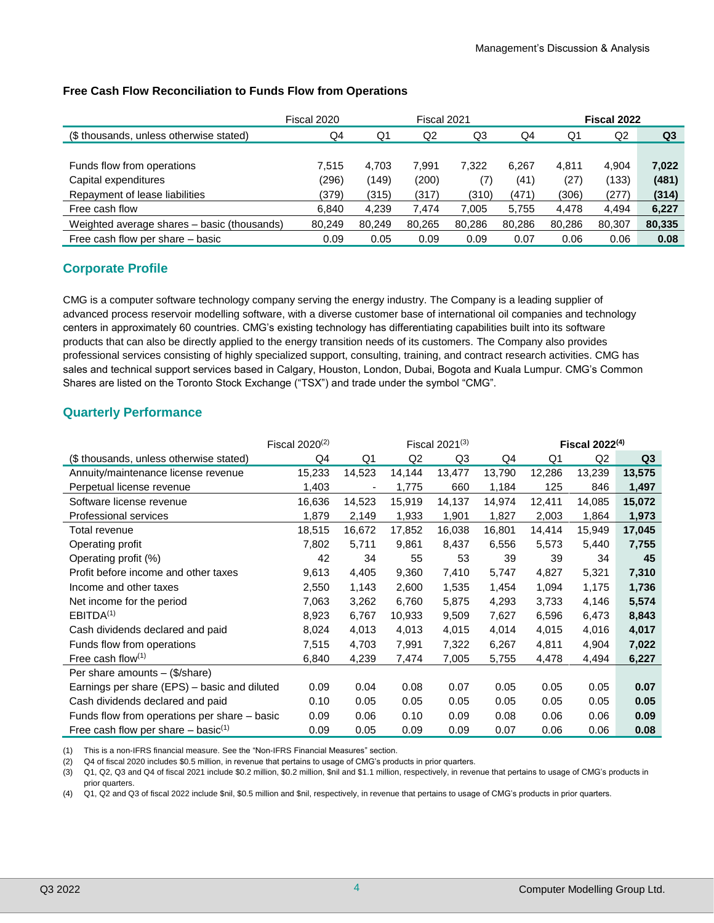|                                             | Fiscal 2020 |        | Fiscal 2021 |        |        |        | Fiscal 2022 |                |  |
|---------------------------------------------|-------------|--------|-------------|--------|--------|--------|-------------|----------------|--|
| (\$ thousands, unless otherwise stated)     | Q4          | Q1     | Q2          | Q3     | Q4     | Q1     | Q2          | Q <sub>3</sub> |  |
|                                             |             |        |             |        |        |        |             |                |  |
| Funds flow from operations                  | 7.515       | 4,703  | 7.991       | 7.322  | 6.267  | 4.811  | 4.904       | 7,022          |  |
| Capital expenditures                        | (296)       | (149)  | (200)       | (7)    | (41)   | (27)   | (133)       | (481)          |  |
| Repayment of lease liabilities              | (379)       | (315)  | (317)       | (310)  | (471)  | (306)  | (277)       | (314)          |  |
| Free cash flow                              | 6.840       | 4.239  | 7.474       | 7,005  | 5,755  | 4,478  | 4.494       | 6,227          |  |
| Weighted average shares – basic (thousands) | 80.249      | 80.249 | 80,265      | 80.286 | 80.286 | 80.286 | 80,307      | 80,335         |  |
| Free cash flow per share – basic            | 0.09        | 0.05   | 0.09        | 0.09   | 0.07   | 0.06   | 0.06        | 0.08           |  |

## **Free Cash Flow Reconciliation to Funds Flow from Operations**

# **Corporate Profile**

CMG is a computer software technology company serving the energy industry. The Company is a leading supplier of advanced process reservoir modelling software, with a diverse customer base of international oil companies and technology centers in approximately 60 countries. CMG's existing technology has differentiating capabilities built into its software products that can also be directly applied to the energy transition needs of its customers. The Company also provides professional services consisting of highly specialized support, consulting, training, and contract research activities. CMG has sales and technical support services based in Calgary, Houston, London, Dubai, Bogota and Kuala Lumpur. CMG's Common Shares are listed on the Toronto Stock Exchange ("TSX") and trade under the symbol "CMG".

# **Quarterly Performance**

|                                                   | Fiscal $2020^{(2)}$ |        |                | Fiscal $2021^{(3)}$ |        | Fiscal $2022^{(4)}$ |        |                |
|---------------------------------------------------|---------------------|--------|----------------|---------------------|--------|---------------------|--------|----------------|
| (\$ thousands, unless otherwise stated)           | Q4                  | Q1     | Q <sub>2</sub> | Q <sub>3</sub>      | Q4     | Q1                  | Q2     | Q <sub>3</sub> |
| Annuity/maintenance license revenue               | 15,233              | 14,523 | 14,144         | 13,477              | 13,790 | 12,286              | 13,239 | 13,575         |
| Perpetual license revenue                         | 1,403               |        | 1,775          | 660                 | 1,184  | 125                 | 846    | 1,497          |
| Software license revenue                          | 16,636              | 14,523 | 15,919         | 14,137              | 14,974 | 12,411              | 14,085 | 15,072         |
| <b>Professional services</b>                      | 1,879               | 2,149  | 1,933          | 1,901               | 1,827  | 2,003               | 1,864  | 1,973          |
| Total revenue                                     | 18,515              | 16,672 | 17,852         | 16,038              | 16,801 | 14,414              | 15,949 | 17,045         |
| Operating profit                                  | 7,802               | 5,711  | 9,861          | 8,437               | 6,556  | 5,573               | 5,440  | 7,755          |
| Operating profit (%)                              | 42                  | 34     | 55             | 53                  | 39     | 39                  | 34     | 45             |
| Profit before income and other taxes              | 9,613               | 4,405  | 9,360          | 7,410               | 5,747  | 4,827               | 5,321  | 7,310          |
| Income and other taxes                            | 2,550               | 1,143  | 2,600          | 1,535               | 1,454  | 1,094               | 1,175  | 1,736          |
| Net income for the period                         | 7,063               | 3,262  | 6,760          | 5,875               | 4,293  | 3,733               | 4,146  | 5,574          |
| EBITDA <sup>(1)</sup>                             | 8,923               | 6,767  | 10,933         | 9,509               | 7,627  | 6,596               | 6,473  | 8,843          |
| Cash dividends declared and paid                  | 8,024               | 4,013  | 4,013          | 4,015               | 4,014  | 4,015               | 4,016  | 4,017          |
| Funds flow from operations                        | 7,515               | 4,703  | 7,991          | 7,322               | 6,267  | 4,811               | 4,904  | 7,022          |
| Free cash flow $(1)$                              | 6,840               | 4,239  | 7,474          | 7,005               | 5,755  | 4,478               | 4,494  | 6,227          |
| Per share amounts $-$ (\$/share)                  |                     |        |                |                     |        |                     |        |                |
| Earnings per share (EPS) – basic and diluted      | 0.09                | 0.04   | 0.08           | 0.07                | 0.05   | 0.05                | 0.05   | 0.07           |
| Cash dividends declared and paid                  | 0.10                | 0.05   | 0.05           | 0.05                | 0.05   | 0.05                | 0.05   | 0.05           |
| Funds flow from operations per share – basic      | 0.09                | 0.06   | 0.10           | 0.09                | 0.08   | 0.06                | 0.06   | 0.09           |
| Free cash flow per share $-$ basic <sup>(1)</sup> | 0.09                | 0.05   | 0.09           | 0.09                | 0.07   | 0.06                | 0.06   | 0.08           |

(1) This is a non-IFRS financial measure. See the "Non-IFRS Financial Measures" section.

(2) Q4 of fiscal 2020 includes \$0.5 million, in revenue that pertains to usage of CMG's products in prior quarters.

(3) Q1, Q2, Q3 and Q4 of fiscal 2021 include \$0.2 million, \$0.2 million, \$nil and \$1.1 million, respectively, in revenue that pertains to usage of CMG's products in prior quarters.

(4) Q1, Q2 and Q3 of fiscal 2022 include \$nil, \$0.5 million and \$nil, respectively, in revenue that pertains to usage of CMG's products in prior quarters.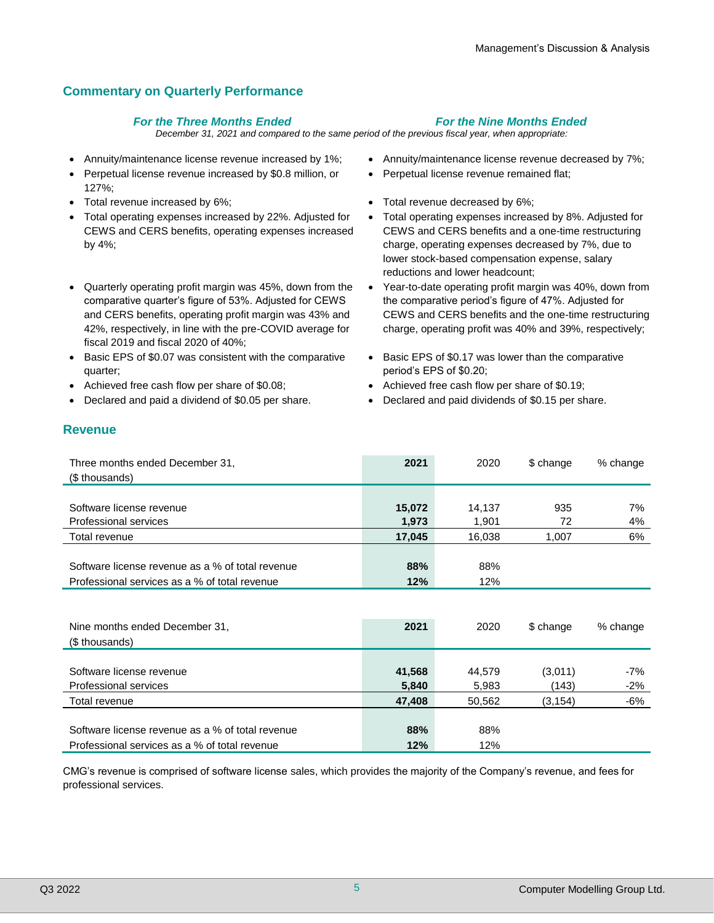# **Commentary on Quarterly Performance**

### *For the Three Months Ended For the Nine Months Ended*

*December 31, 2021 and compared to the same period of the previous fiscal year, when appropriate:*

- 
- Perpetual license revenue increased by \$0.8 million, or 127%;
- 
- Total operating expenses increased by 22%. Adjusted for CEWS and CERS benefits, operating expenses increased by 4%;
- Quarterly operating profit margin was 45%, down from the comparative quarter's figure of 53%. Adjusted for CEWS and CERS benefits, operating profit margin was 43% and 42%, respectively, in line with the pre-COVID average for fiscal 2019 and fiscal 2020 of 40%;
- Basic EPS of \$0.07 was consistent with the comparative quarter;
- Achieved free cash flow per share of \$0.08; Achieved free cash flow per share of \$0.19;
- 
- Annuity/maintenance license revenue increased by 1%; Annuity/maintenance license revenue decreased by 7%;
	- Perpetual license revenue remained flat;
- Total revenue increased by 6%;  $\bullet$  Total revenue decreased by 6%;
	- Total operating expenses increased by 8%. Adjusted for CEWS and CERS benefits and a one-time restructuring charge, operating expenses decreased by 7%, due to lower stock-based compensation expense, salary reductions and lower headcount;
	- Year-to-date operating profit margin was 40%, down from the comparative period's figure of 47%. Adjusted for CEWS and CERS benefits and the one-time restructuring charge, operating profit was 40% and 39%, respectively;
	- Basic EPS of \$0.17 was lower than the comparative period's EPS of \$0.20;
	-
	- Declared and paid a dividend of \$0.05 per share. Declared and paid dividends of \$0.15 per share.

# **Revenue**

| Three months ended December 31,<br>(\$ thousands) | 2021   | 2020   | \$ change | % change |
|---------------------------------------------------|--------|--------|-----------|----------|
|                                                   |        |        |           |          |
| Software license revenue                          | 15,072 | 14.137 | 935       | 7%       |
| Professional services                             | 1,973  | 1,901  | 72        | 4%       |
| Total revenue                                     | 17,045 | 16,038 | 1,007     | 6%       |
|                                                   |        |        |           |          |
| Software license revenue as a % of total revenue  | 88%    | 88%    |           |          |
| Professional services as a % of total revenue     | 12%    | 12%    |           |          |
|                                                   |        |        |           |          |
|                                                   |        |        |           |          |
|                                                   |        |        |           |          |

| Nine months ended December 31,                   | 2021   | 2020   | \$ change | % change |
|--------------------------------------------------|--------|--------|-----------|----------|
| (\$ thousands)                                   |        |        |           |          |
|                                                  |        |        |           |          |
| Software license revenue                         | 41,568 | 44.579 | (3,011)   | $-7%$    |
| Professional services                            | 5,840  | 5,983  | (143)     | $-2%$    |
| Total revenue                                    | 47.408 | 50.562 | (3,154)   | -6%      |
|                                                  |        |        |           |          |
| Software license revenue as a % of total revenue | 88%    | 88%    |           |          |
| Professional services as a % of total revenue    | 12%    | 12%    |           |          |

CMG's revenue is comprised of software license sales, which provides the majority of the Company's revenue, and fees for professional services.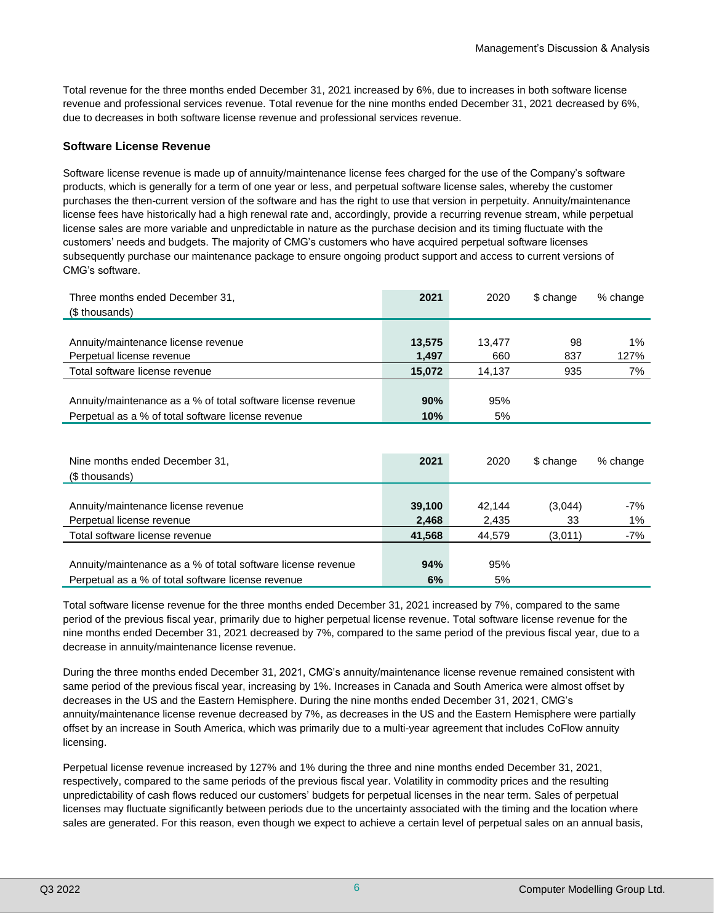Total revenue for the three months ended December 31, 2021 increased by 6%, due to increases in both software license revenue and professional services revenue. Total revenue for the nine months ended December 31, 2021 decreased by 6%, due to decreases in both software license revenue and professional services revenue.

#### **Software License Revenue**

Software license revenue is made up of annuity/maintenance license fees charged for the use of the Company's software products, which is generally for a term of one year or less, and perpetual software license sales, whereby the customer purchases the then-current version of the software and has the right to use that version in perpetuity. Annuity/maintenance license fees have historically had a high renewal rate and, accordingly, provide a recurring revenue stream, while perpetual license sales are more variable and unpredictable in nature as the purchase decision and its timing fluctuate with the customers' needs and budgets. The majority of CMG's customers who have acquired perpetual software licenses subsequently purchase our maintenance package to ensure ongoing product support and access to current versions of CMG's software.

| Three months ended December 31,<br>(\$ thousands)            | 2021   | 2020   | \$ change | % change |
|--------------------------------------------------------------|--------|--------|-----------|----------|
|                                                              |        |        |           |          |
| Annuity/maintenance license revenue                          | 13,575 | 13.477 | 98        | $1\%$    |
| Perpetual license revenue                                    | 1,497  | 660    | 837       | 127%     |
| Total software license revenue                               | 15,072 | 14,137 | 935       | 7%       |
|                                                              |        |        |           |          |
| Annuity/maintenance as a % of total software license revenue | 90%    | 95%    |           |          |
| Perpetual as a % of total software license revenue           | 10%    | 5%     |           |          |
|                                                              |        |        |           |          |

| Nine months ended December 31.<br>(\$ thousands)             | 2021   | 2020   | \$ change | % change |
|--------------------------------------------------------------|--------|--------|-----------|----------|
|                                                              |        |        |           |          |
| Annuity/maintenance license revenue                          | 39,100 | 42.144 | (3,044)   | $-7%$    |
| Perpetual license revenue                                    | 2,468  | 2,435  | 33        | 1%       |
| Total software license revenue                               | 41,568 | 44.579 | (3,011)   | -7%      |
|                                                              |        |        |           |          |
| Annuity/maintenance as a % of total software license revenue | 94%    | 95%    |           |          |
| Perpetual as a % of total software license revenue           | 6%     | 5%     |           |          |

Total software license revenue for the three months ended December 31, 2021 increased by 7%, compared to the same period of the previous fiscal year, primarily due to higher perpetual license revenue. Total software license revenue for the nine months ended December 31, 2021 decreased by 7%, compared to the same period of the previous fiscal year, due to a decrease in annuity/maintenance license revenue.

During the three months ended December 31, 2021, CMG's annuity/maintenance license revenue remained consistent with same period of the previous fiscal year, increasing by 1%. Increases in Canada and South America were almost offset by decreases in the US and the Eastern Hemisphere. During the nine months ended December 31, 2021, CMG's annuity/maintenance license revenue decreased by 7%, as decreases in the US and the Eastern Hemisphere were partially offset by an increase in South America, which was primarily due to a multi-year agreement that includes CoFlow annuity licensing.

Perpetual license revenue increased by 127% and 1% during the three and nine months ended December 31, 2021, respectively, compared to the same periods of the previous fiscal year. Volatility in commodity prices and the resulting unpredictability of cash flows reduced our customers' budgets for perpetual licenses in the near term. Sales of perpetual licenses may fluctuate significantly between periods due to the uncertainty associated with the timing and the location where sales are generated. For this reason, even though we expect to achieve a certain level of perpetual sales on an annual basis,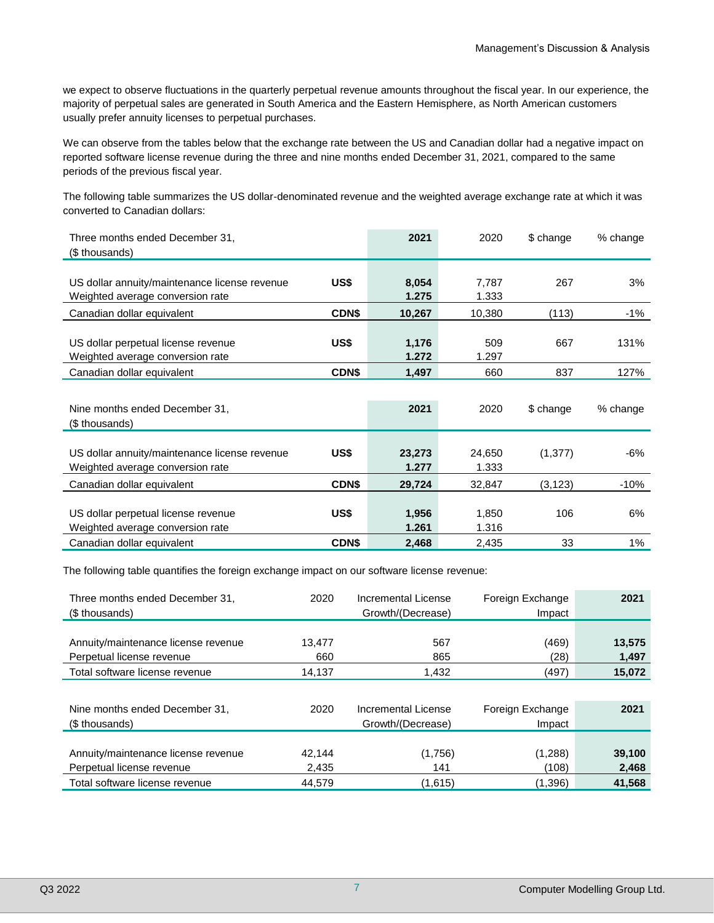we expect to observe fluctuations in the quarterly perpetual revenue amounts throughout the fiscal year. In our experience, the majority of perpetual sales are generated in South America and the Eastern Hemisphere, as North American customers usually prefer annuity licenses to perpetual purchases.

We can observe from the tables below that the exchange rate between the US and Canadian dollar had a negative impact on reported software license revenue during the three and nine months ended December 31, 2021, compared to the same periods of the previous fiscal year.

The following table summarizes the US dollar-denominated revenue and the weighted average exchange rate at which it was converted to Canadian dollars:

| Three months ended December 31,               |              | 2021           | 2020   | \$ change | % change |
|-----------------------------------------------|--------------|----------------|--------|-----------|----------|
| (\$ thousands)                                |              |                |        |           |          |
|                                               |              |                |        |           |          |
| US dollar annuity/maintenance license revenue | US\$         | 8,054          | 7,787  | 267       | 3%       |
| Weighted average conversion rate              |              | 1.275          | 1.333  |           |          |
| Canadian dollar equivalent                    | CDN\$        | 10,267         | 10,380 | (113)     | $-1\%$   |
|                                               |              |                |        |           |          |
| US dollar perpetual license revenue           | US\$         | 1,176          | 509    | 667       | 131%     |
| Weighted average conversion rate              |              | 1.272          | 1.297  |           |          |
| Canadian dollar equivalent                    | <b>CDN\$</b> | 1,497          | 660    | 837       | 127%     |
|                                               |              |                |        |           |          |
| Nine months ended December 31,                |              | 2021           | 2020   | \$ change | % change |
| (\$ thousands)                                |              |                |        |           |          |
|                                               |              |                |        |           |          |
| US dollar annuity/maintenance license revenue | US\$         | 23,273         | 24,650 | (1, 377)  | -6%      |
| Weighted average conversion rate              |              | 1.277          | 1.333  |           |          |
|                                               |              |                |        |           |          |
| Canadian dollar equivalent                    | <b>CDN\$</b> | 29,724         | 32,847 | (3, 123)  | $-10%$   |
|                                               | US\$         |                | 1,850  | 106       | 6%       |
| US dollar perpetual license revenue           |              | 1,956<br>1.261 |        |           |          |
| Weighted average conversion rate              |              |                | 1.316  |           |          |
| Canadian dollar equivalent                    | <b>CDN\$</b> | 2,468          | 2,435  | 33        | 1%       |

The following table quantifies the foreign exchange impact on our software license revenue:

| Three months ended December 31,     | 2020   | Incremental License | Foreign Exchange | 2021   |
|-------------------------------------|--------|---------------------|------------------|--------|
| (\$ thousands)                      |        | Growth/(Decrease)   | Impact           |        |
|                                     |        |                     |                  |        |
| Annuity/maintenance license revenue | 13,477 | 567                 | (469)            | 13,575 |
| Perpetual license revenue           | 660    | 865                 | (28)             | 1,497  |
| Total software license revenue      | 14,137 | 1,432               | (497)            | 15,072 |
|                                     |        |                     |                  |        |
| Nine months ended December 31,      | 2020   | Incremental License | Foreign Exchange | 2021   |
| (\$ thousands)                      |        | Growth/(Decrease)   | Impact           |        |
|                                     |        |                     |                  |        |
| Annuity/maintenance license revenue | 42.144 | (1,756)             | (1,288)          | 39,100 |
| Perpetual license revenue           | 2,435  | 141                 | (108)            | 2,468  |
| Total software license revenue      | 44.579 | (1,615)             | (1,396)          | 41,568 |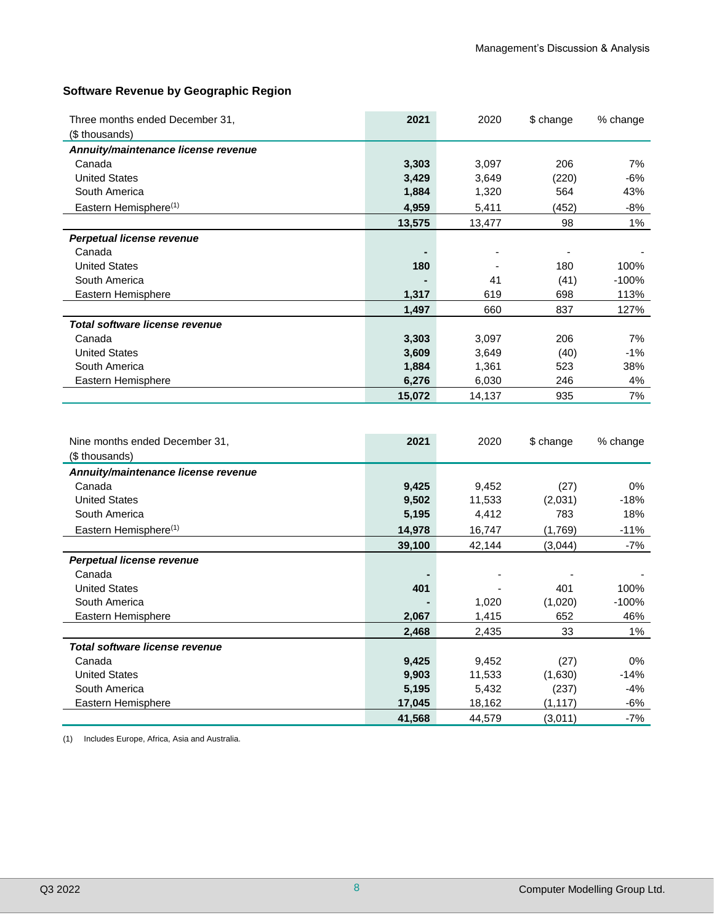# **Software Revenue by Geographic Region**

| Three months ended December 31,       | 2021             | 2020             | \$ change           | % change       |
|---------------------------------------|------------------|------------------|---------------------|----------------|
| (\$ thousands)                        |                  |                  |                     |                |
| Annuity/maintenance license revenue   |                  |                  |                     |                |
| Canada                                | 3,303            | 3,097            | 206                 | 7%             |
| <b>United States</b>                  | 3,429            | 3,649            | (220)               | $-6%$          |
| South America                         | 1,884            | 1,320            | 564                 | 43%            |
| Eastern Hemisphere <sup>(1)</sup>     | 4,959            | 5,411            | (452)               | $-8%$          |
|                                       | 13,575           | 13,477           | 98                  | 1%             |
| Perpetual license revenue             |                  |                  |                     |                |
| Canada                                |                  |                  |                     |                |
| <b>United States</b>                  | 180              |                  | 180                 | 100%           |
| South America                         |                  | 41               | (41)                | $-100%$        |
| Eastern Hemisphere                    | 1,317            | 619              | 698                 | 113%           |
|                                       | 1,497            | 660              | 837                 | 127%           |
| <b>Total software license revenue</b> |                  |                  |                     |                |
| Canada                                | 3,303            | 3,097            | 206                 | 7%             |
| <b>United States</b>                  | 3,609            | 3,649            | (40)                | $-1%$          |
| South America                         | 1,884            | 1,361            | 523                 | 38%            |
| Eastern Hemisphere                    | 6,276            | 6,030            | 246                 | 4%             |
|                                       | 15,072           | 14,137           | 935                 | 7%             |
|                                       |                  |                  |                     |                |
|                                       |                  |                  |                     |                |
| Nine months ended December 31,        | 2021             | 2020             | \$ change           | % change       |
| (\$ thousands)                        |                  |                  |                     |                |
| Annuity/maintenance license revenue   |                  |                  |                     |                |
| Canada                                | 9,425            | 9,452            | (27)                | 0%             |
| <b>United States</b>                  | 9,502            | 11,533           | (2,031)             | $-18%$         |
| South America                         | 5,195            | 4,412            | 783                 | 18%            |
| Eastern Hemisphere <sup>(1)</sup>     | 14,978           | 16,747           | (1,769)             | $-11%$         |
|                                       | 39,100           | 42,144           | (3,044)             | $-7%$          |
| Perpetual license revenue             |                  |                  |                     |                |
| Canada                                |                  |                  |                     |                |
| <b>United States</b>                  | 401              |                  | 401                 | 100%           |
| South America                         |                  | 1,020            | (1,020)             | $-100%$        |
| Eastern Hemisphere                    | 2,067            | 1,415            | 652                 | 46%            |
|                                       | 2,468            | 2,435            | 33                  | 1%             |
| Total software license revenue        |                  |                  |                     |                |
| Canada                                |                  |                  |                     | $0\%$          |
|                                       | 9,425            | 9,452            | (27)                |                |
| <b>United States</b>                  | 9,903            | 11,533           | (1,630)             | $-14%$         |
| South America                         | 5,195            | 5,432            | (237)               | $-4%$          |
| Eastern Hemisphere                    | 17,045<br>41,568 | 18,162<br>44,579 | (1, 117)<br>(3,011) | $-6%$<br>$-7%$ |

(1) Includes Europe, Africa, Asia and Australia.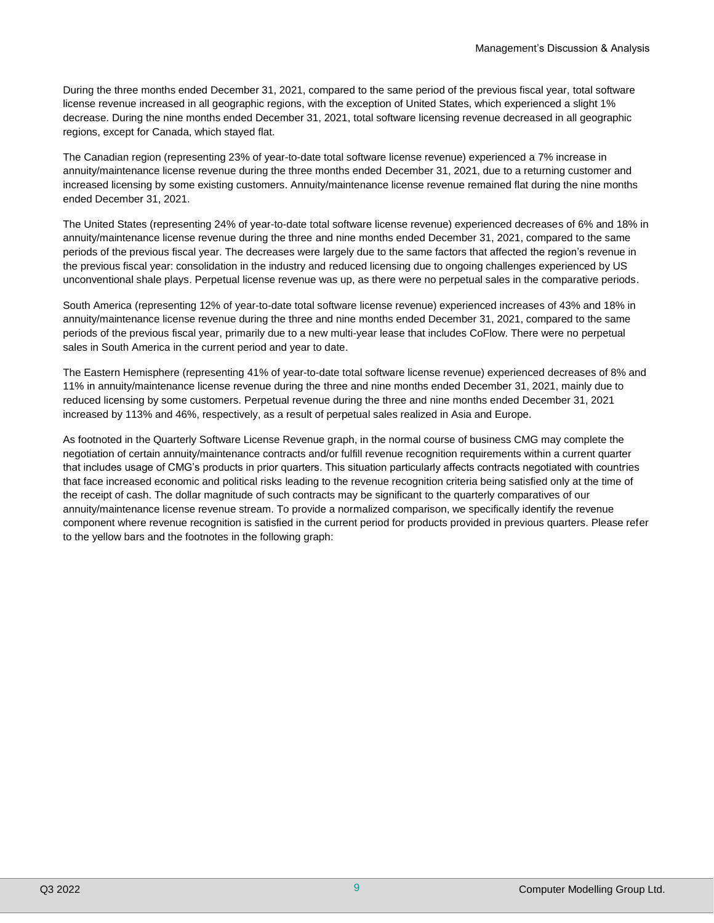During the three months ended December 31, 2021, compared to the same period of the previous fiscal year, total software license revenue increased in all geographic regions, with the exception of United States, which experienced a slight 1% decrease. During the nine months ended December 31, 2021, total software licensing revenue decreased in all geographic regions, except for Canada, which stayed flat.

The Canadian region (representing 23% of year-to-date total software license revenue) experienced a 7% increase in annuity/maintenance license revenue during the three months ended December 31, 2021, due to a returning customer and increased licensing by some existing customers. Annuity/maintenance license revenue remained flat during the nine months ended December 31, 2021.

The United States (representing 24% of year-to-date total software license revenue) experienced decreases of 6% and 18% in annuity/maintenance license revenue during the three and nine months ended December 31, 2021, compared to the same periods of the previous fiscal year. The decreases were largely due to the same factors that affected the region's revenue in the previous fiscal year: consolidation in the industry and reduced licensing due to ongoing challenges experienced by US unconventional shale plays. Perpetual license revenue was up, as there were no perpetual sales in the comparative periods.

South America (representing 12% of year-to-date total software license revenue) experienced increases of 43% and 18% in annuity/maintenance license revenue during the three and nine months ended December 31, 2021, compared to the same periods of the previous fiscal year, primarily due to a new multi-year lease that includes CoFlow. There were no perpetual sales in South America in the current period and year to date.

The Eastern Hemisphere (representing 41% of year-to-date total software license revenue) experienced decreases of 8% and 11% in annuity/maintenance license revenue during the three and nine months ended December 31, 2021, mainly due to reduced licensing by some customers. Perpetual revenue during the three and nine months ended December 31, 2021 increased by 113% and 46%, respectively, as a result of perpetual sales realized in Asia and Europe.

As footnoted in the Quarterly Software License Revenue graph, in the normal course of business CMG may complete the negotiation of certain annuity/maintenance contracts and/or fulfill revenue recognition requirements within a current quarter that includes usage of CMG's products in prior quarters. This situation particularly affects contracts negotiated with countries that face increased economic and political risks leading to the revenue recognition criteria being satisfied only at the time of the receipt of cash. The dollar magnitude of such contracts may be significant to the quarterly comparatives of our annuity/maintenance license revenue stream. To provide a normalized comparison, we specifically identify the revenue component where revenue recognition is satisfied in the current period for products provided in previous quarters. Please refer to the yellow bars and the footnotes in the following graph: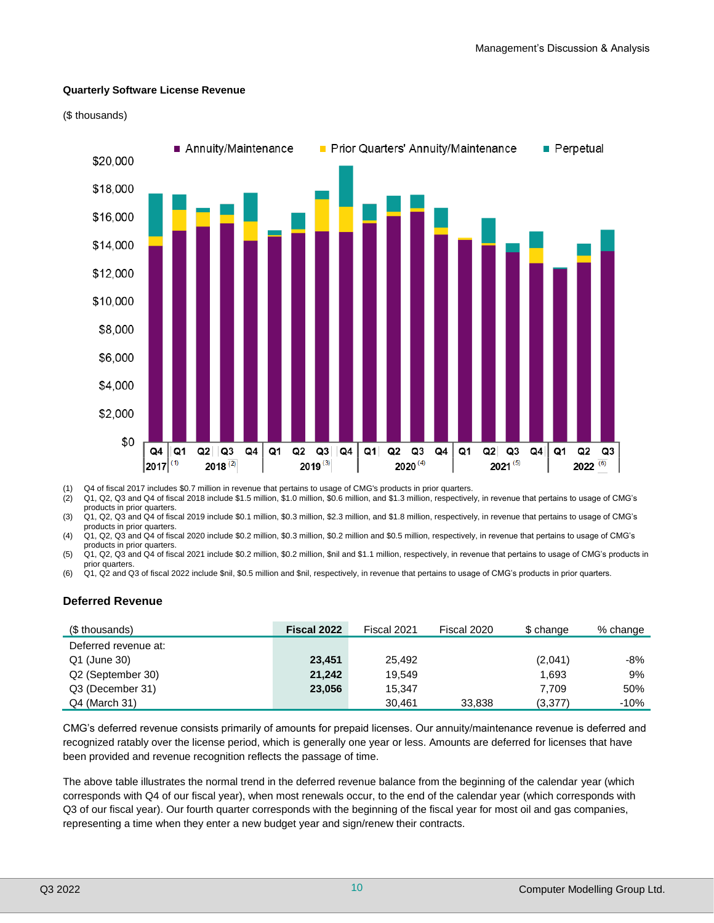#### **Quarterly Software License Revenue**





(1) Q4 of fiscal 2017 includes \$0.7 million in revenue that pertains to usage of CMG's products in prior quarters.

(2) Q1, Q2, Q3 and Q4 of fiscal 2018 include \$1.5 million, \$1.0 million, \$0.6 million, and \$1.3 million, respectively, in revenue that pertains to usage of CMG's products in prior quarters.

(3) Q1, Q2, Q3 and Q4 of fiscal 2019 include \$0.1 million, \$0.3 million, \$2.3 million, and \$1.8 million, respectively, in revenue that pertains to usage of CMG's products in prior quarters.

(4) Q1, Q2, Q3 and Q4 of fiscal 2020 include \$0.2 million, \$0.3 million, \$0.2 million and \$0.5 million, respectively, in revenue that pertains to usage of CMG's products in prior quarters.

(5) Q1, Q2, Q3 and Q4 of fiscal 2021 include \$0.2 million, \$0.2 million, \$nil and \$1.1 million, respectively, in revenue that pertains to usage of CMG's products in prior quarters.

(6) Q1, Q2 and Q3 of fiscal 2022 include \$nil, \$0.5 million and \$nil, respectively, in revenue that pertains to usage of CMG's products in prior quarters.

#### **Deferred Revenue**

| (\$ thousands)       | Fiscal 2022 | Fiscal 2021 | Fiscal 2020 | \$ change | % change |
|----------------------|-------------|-------------|-------------|-----------|----------|
| Deferred revenue at: |             |             |             |           |          |
| Q1 (June 30)         | 23.451      | 25.492      |             | (2,041)   | -8%      |
| Q2 (September 30)    | 21.242      | 19.549      |             | 1,693     | 9%       |
| Q3 (December 31)     | 23,056      | 15.347      |             | 7.709     | 50%      |
| $Q4$ (March 31)      |             | 30,461      | 33,838      | (3,377)   | $-10%$   |

CMG's deferred revenue consists primarily of amounts for prepaid licenses. Our annuity/maintenance revenue is deferred and recognized ratably over the license period, which is generally one year or less. Amounts are deferred for licenses that have been provided and revenue recognition reflects the passage of time.

The above table illustrates the normal trend in the deferred revenue balance from the beginning of the calendar year (which corresponds with Q4 of our fiscal year), when most renewals occur, to the end of the calendar year (which corresponds with Q3 of our fiscal year). Our fourth quarter corresponds with the beginning of the fiscal year for most oil and gas companies, representing a time when they enter a new budget year and sign/renew their contracts.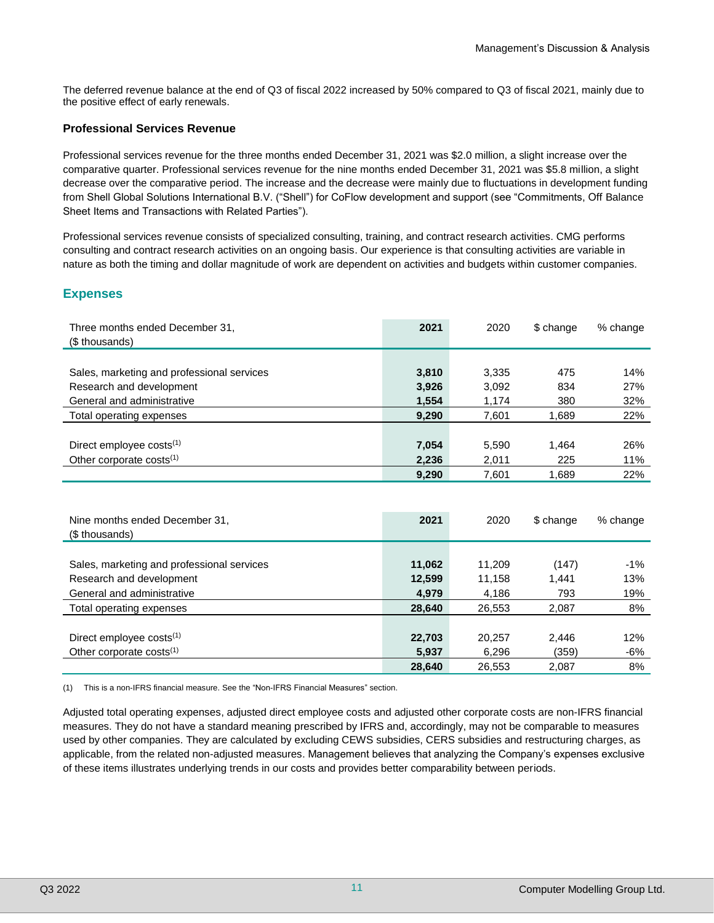The deferred revenue balance at the end of Q3 of fiscal 2022 increased by 50% compared to Q3 of fiscal 2021, mainly due to the positive effect of early renewals.

## **Professional Services Revenue**

Professional services revenue for the three months ended December 31, 2021 was \$2.0 million, a slight increase over the comparative quarter. Professional services revenue for the nine months ended December 31, 2021 was \$5.8 million, a slight decrease over the comparative period. The increase and the decrease were mainly due to fluctuations in development funding from Shell Global Solutions International B.V. ("Shell") for CoFlow development and support (see "Commitments, Off Balance Sheet Items and Transactions with Related Parties").

Professional services revenue consists of specialized consulting, training, and contract research activities. CMG performs consulting and contract research activities on an ongoing basis. Our experience is that consulting activities are variable in nature as both the timing and dollar magnitude of work are dependent on activities and budgets within customer companies.

# **Expenses**

| Three months ended December 31,<br>(\$ thousands) | 2021  | 2020  | \$ change | % change |
|---------------------------------------------------|-------|-------|-----------|----------|
|                                                   |       |       |           |          |
| Sales, marketing and professional services        | 3,810 | 3,335 | 475       | 14%      |
| Research and development                          | 3,926 | 3,092 | 834       | 27%      |
| General and administrative                        | 1,554 | 1,174 | 380       | 32%      |
| Total operating expenses                          | 9,290 | 7,601 | 1,689     | 22%      |
|                                                   |       |       |           |          |
| Direct employee costs <sup>(1)</sup>              | 7,054 | 5,590 | 1.464     | 26%      |
| Other corporate costs $(1)$                       | 2,236 | 2,011 | 225       | 11%      |
|                                                   | 9,290 | 7,601 | 1,689     | 22%      |

| Nine months ended December 31.<br>(\$ thousands) | 2021   | 2020   | \$ change | % change |
|--------------------------------------------------|--------|--------|-----------|----------|
|                                                  |        |        |           |          |
| Sales, marketing and professional services       | 11,062 | 11.209 | (147)     | $-1\%$   |
| Research and development                         | 12,599 | 11.158 | 1.441     | 13%      |
| General and administrative                       | 4,979  | 4,186  | 793       | 19%      |
| Total operating expenses                         | 28,640 | 26,553 | 2,087     | 8%       |
|                                                  |        |        |           |          |
| Direct employee costs <sup>(1)</sup>             | 22,703 | 20,257 | 2.446     | 12%      |
| Other corporate costs $(1)$                      | 5,937  | 6,296  | (359)     | -6%      |
|                                                  | 28,640 | 26,553 | 2,087     | 8%       |

(1) This is a non-IFRS financial measure. See the "Non-IFRS Financial Measures" section.

Adjusted total operating expenses, adjusted direct employee costs and adjusted other corporate costs are non-IFRS financial measures. They do not have a standard meaning prescribed by IFRS and, accordingly, may not be comparable to measures used by other companies. They are calculated by excluding CEWS subsidies, CERS subsidies and restructuring charges, as applicable, from the related non-adjusted measures. Management believes that analyzing the Company's expenses exclusive of these items illustrates underlying trends in our costs and provides better comparability between periods.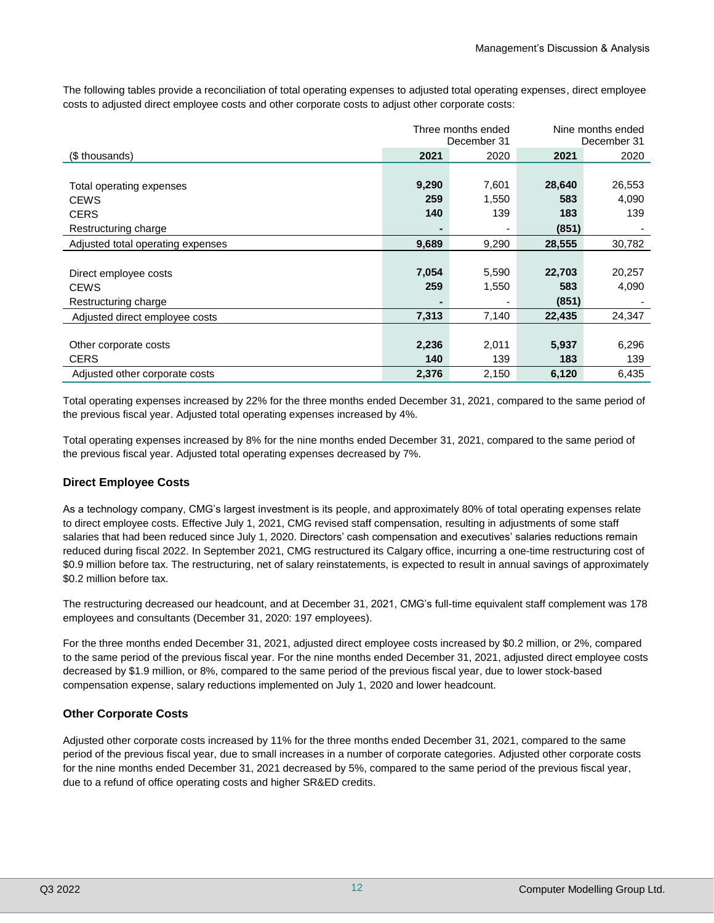The following tables provide a reconciliation of total operating expenses to adjusted total operating expenses, direct employee costs to adjusted direct employee costs and other corporate costs to adjust other corporate costs:

|                                   |       | Three months ended<br>December 31 | Nine months ended<br>December 31 |        |
|-----------------------------------|-------|-----------------------------------|----------------------------------|--------|
| (\$ thousands)                    | 2021  | 2020                              | 2021                             | 2020   |
|                                   |       |                                   |                                  |        |
| Total operating expenses          | 9,290 | 7,601                             | 28,640                           | 26,553 |
| <b>CEWS</b>                       | 259   | 1,550                             | 583                              | 4,090  |
| <b>CERS</b>                       | 140   | 139                               | 183                              | 139    |
| Restructuring charge              |       |                                   | (851)                            |        |
| Adjusted total operating expenses | 9,689 | 9,290                             | 28,555                           | 30,782 |
|                                   |       |                                   |                                  |        |
| Direct employee costs             | 7,054 | 5,590                             | 22,703                           | 20,257 |
| <b>CEWS</b>                       | 259   | 1,550                             | 583                              | 4,090  |
| Restructuring charge              |       |                                   | (851)                            |        |
| Adjusted direct employee costs    | 7,313 | 7,140                             | 22,435                           | 24,347 |
|                                   |       |                                   |                                  |        |
| Other corporate costs             | 2,236 | 2,011                             | 5,937                            | 6,296  |
| <b>CERS</b>                       | 140   | 139                               | 183                              | 139    |
| Adjusted other corporate costs    | 2,376 | 2,150                             | 6,120                            | 6,435  |

Total operating expenses increased by 22% for the three months ended December 31, 2021, compared to the same period of the previous fiscal year. Adjusted total operating expenses increased by 4%.

Total operating expenses increased by 8% for the nine months ended December 31, 2021, compared to the same period of the previous fiscal year. Adjusted total operating expenses decreased by 7%.

#### **Direct Employee Costs**

As a technology company, CMG's largest investment is its people, and approximately 80% of total operating expenses relate to direct employee costs. Effective July 1, 2021, CMG revised staff compensation, resulting in adjustments of some staff salaries that had been reduced since July 1, 2020. Directors' cash compensation and executives' salaries reductions remain reduced during fiscal 2022. In September 2021, CMG restructured its Calgary office, incurring a one-time restructuring cost of \$0.9 million before tax. The restructuring, net of salary reinstatements, is expected to result in annual savings of approximately \$0.2 million before tax.

The restructuring decreased our headcount, and at December 31, 2021, CMG's full-time equivalent staff complement was 178 employees and consultants (December 31, 2020: 197 employees).

For the three months ended December 31, 2021, adjusted direct employee costs increased by \$0.2 million, or 2%, compared to the same period of the previous fiscal year. For the nine months ended December 31, 2021, adjusted direct employee costs decreased by \$1.9 million, or 8%, compared to the same period of the previous fiscal year, due to lower stock-based compensation expense, salary reductions implemented on July 1, 2020 and lower headcount.

#### **Other Corporate Costs**

Adjusted other corporate costs increased by 11% for the three months ended December 31, 2021, compared to the same period of the previous fiscal year, due to small increases in a number of corporate categories. Adjusted other corporate costs for the nine months ended December 31, 2021 decreased by 5%, compared to the same period of the previous fiscal year, due to a refund of office operating costs and higher SR&ED credits.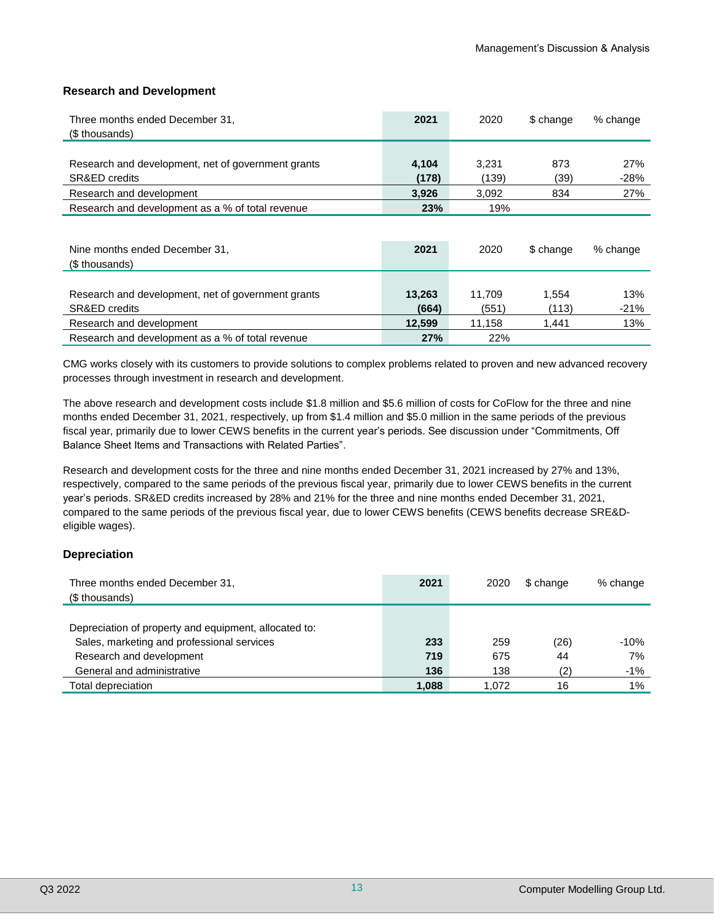#### **Research and Development**

| Three months ended December 31,<br>(\$ thousands)                              | 2021           | 2020           | \$ change   | % change      |
|--------------------------------------------------------------------------------|----------------|----------------|-------------|---------------|
| Research and development, net of government grants<br><b>SR&amp;ED credits</b> | 4,104<br>(178) | 3.231<br>(139) | 873<br>(39) | 27%<br>$-28%$ |
| Research and development                                                       | 3,926          | 3,092          | 834         | 27%           |
| Research and development as a % of total revenue                               | 23%            | 19%            |             |               |

| Nine months ended December 31,<br>(\$ thousands)                               | 2021            | 2020            | \$ change      | % change      |
|--------------------------------------------------------------------------------|-----------------|-----------------|----------------|---------------|
| Research and development, net of government grants<br><b>SR&amp;ED credits</b> | 13,263<br>(664) | 11.709<br>(551) | 1.554<br>(113) | 13%<br>$-21%$ |
| Research and development                                                       | 12,599          | 11.158          | 1.441          | 13%           |
| Research and development as a % of total revenue                               | 27%             | <b>22%</b>      |                |               |

CMG works closely with its customers to provide solutions to complex problems related to proven and new advanced recovery processes through investment in research and development.

The above research and development costs include \$1.8 million and \$5.6 million of costs for CoFlow for the three and nine months ended December 31, 2021, respectively, up from \$1.4 million and \$5.0 million in the same periods of the previous fiscal year, primarily due to lower CEWS benefits in the current year's periods. See discussion under "Commitments, Off Balance Sheet Items and Transactions with Related Parties".

Research and development costs for the three and nine months ended December 31, 2021 increased by 27% and 13%, respectively, compared to the same periods of the previous fiscal year, primarily due to lower CEWS benefits in the current year's periods. SR&ED credits increased by 28% and 21% for the three and nine months ended December 31, 2021, compared to the same periods of the previous fiscal year, due to lower CEWS benefits (CEWS benefits decrease SRE&Deligible wages).

#### **Depreciation**

| Three months ended December 31,                       | 2021  | 2020  | \$ change | % change |
|-------------------------------------------------------|-------|-------|-----------|----------|
| (\$ thousands)                                        |       |       |           |          |
|                                                       |       |       |           |          |
| Depreciation of property and equipment, allocated to: |       |       |           |          |
| Sales, marketing and professional services            | 233   | 259   | (26)      | $-10%$   |
| Research and development                              | 719   | 675   | 44        | 7%       |
| General and administrative                            | 136   | 138   | (2)       | $-1%$    |
| Total depreciation                                    | 1,088 | 1.072 | 16        | $1\%$    |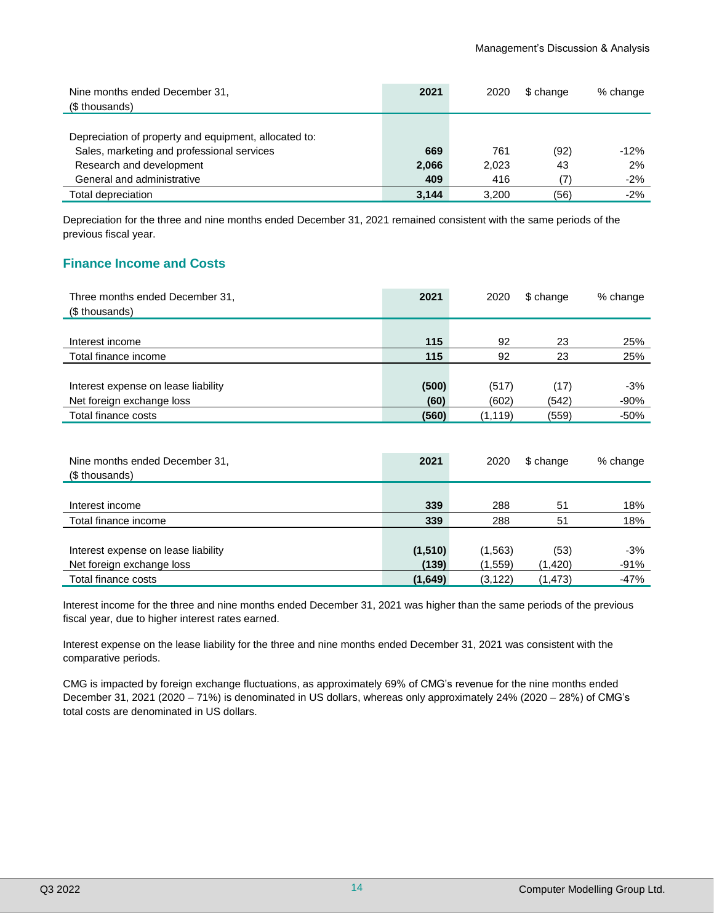| Nine months ended December 31,<br>(\$ thousands)      | 2021  | 2020  | \$ change | % change |
|-------------------------------------------------------|-------|-------|-----------|----------|
|                                                       |       |       |           |          |
| Depreciation of property and equipment, allocated to: |       |       |           |          |
| Sales, marketing and professional services            | 669   | 761   | (92)      | $-12%$   |
| Research and development                              | 2,066 | 2.023 | 43        | 2%       |
| General and administrative                            | 409   | 416   |           | $-2%$    |
| Total depreciation                                    | 3.144 | 3.200 | (56)      | $-2%$    |

Depreciation for the three and nine months ended December 31, 2021 remained consistent with the same periods of the previous fiscal year.

# **Finance Income and Costs**

| Three months ended December 31,<br>(\$ thousands) | 2021  | 2020     | \$ change | % change |
|---------------------------------------------------|-------|----------|-----------|----------|
|                                                   |       |          |           |          |
| Interest income                                   | 115   | 92       | 23        | 25%      |
| Total finance income                              | 115   | 92       | 23        | 25%      |
|                                                   |       |          |           |          |
| Interest expense on lease liability               | (500) | (517)    | (17)      | $-3%$    |
| Net foreign exchange loss                         | (60)  | (602)    | (542)     | $-90%$   |
| Total finance costs                               | (560) | (1, 119) | (559)     | $-50%$   |

| Nine months ended December 31,<br>(\$ thousands) | 2021     | 2020     | \$ change | % change |
|--------------------------------------------------|----------|----------|-----------|----------|
|                                                  |          |          |           |          |
| Interest income                                  | 339      | 288      | 51        | 18%      |
| Total finance income                             | 339      | 288      | 51        | 18%      |
|                                                  |          |          |           |          |
| Interest expense on lease liability              | (1, 510) | (1, 563) | (53)      | $-3%$    |
| Net foreign exchange loss                        | (139)    | (1, 559) | (1,420)   | $-91%$   |
| Total finance costs                              | (1,649)  | (3, 122) | (1, 473)  | $-47%$   |

Interest income for the three and nine months ended December 31, 2021 was higher than the same periods of the previous fiscal year, due to higher interest rates earned.

Interest expense on the lease liability for the three and nine months ended December 31, 2021 was consistent with the comparative periods.

CMG is impacted by foreign exchange fluctuations, as approximately 69% of CMG's revenue for the nine months ended December 31, 2021 (2020 – 71%) is denominated in US dollars, whereas only approximately 24% (2020 – 28%) of CMG's total costs are denominated in US dollars.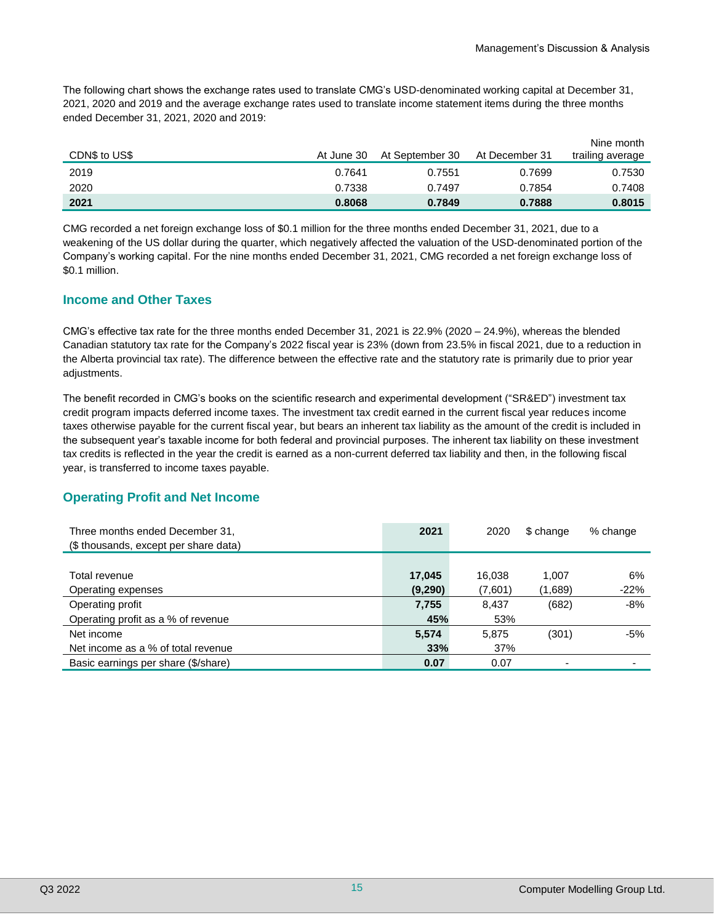The following chart shows the exchange rates used to translate CMG's USD-denominated working capital at December 31, 2021, 2020 and 2019 and the average exchange rates used to translate income statement items during the three months ended December 31, 2021, 2020 and 2019:

| CDN\$ to US\$ | At June 30 | At September 30 | At December 31 | Nine month<br>trailing average |
|---------------|------------|-----------------|----------------|--------------------------------|
| 2019          | 0.7641     | 0.7551          | 0.7699         | 0.7530                         |
| 2020          | 0.7338     | 0.7497          | 0.7854         | 0.7408                         |
| 2021          | 0.8068     | 0.7849          | 0.7888         | 0.8015                         |

CMG recorded a net foreign exchange loss of \$0.1 million for the three months ended December 31, 2021, due to a weakening of the US dollar during the quarter, which negatively affected the valuation of the USD-denominated portion of the Company's working capital. For the nine months ended December 31, 2021, CMG recorded a net foreign exchange loss of \$0.1 million.

# **Income and Other Taxes**

CMG's effective tax rate for the three months ended December 31, 2021 is 22.9% (2020 – 24.9%), whereas the blended Canadian statutory tax rate for the Company's 2022 fiscal year is 23% (down from 23.5% in fiscal 2021, due to a reduction in the Alberta provincial tax rate). The difference between the effective rate and the statutory rate is primarily due to prior year adjustments.

The benefit recorded in CMG's books on the scientific research and experimental development ("SR&ED") investment tax credit program impacts deferred income taxes. The investment tax credit earned in the current fiscal year reduces income taxes otherwise payable for the current fiscal year, but bears an inherent tax liability as the amount of the credit is included in the subsequent year's taxable income for both federal and provincial purposes. The inherent tax liability on these investment tax credits is reflected in the year the credit is earned as a non-current deferred tax liability and then, in the following fiscal year, is transferred to income taxes payable.

# **Operating Profit and Net Income**

| Three months ended December 31,<br>(\$ thousands, except per share data) | 2021    | 2020    | \$ change                | % change |
|--------------------------------------------------------------------------|---------|---------|--------------------------|----------|
|                                                                          |         |         |                          |          |
| Total revenue                                                            | 17,045  | 16.038  | 1,007                    | 6%       |
| Operating expenses                                                       | (9,290) | (7,601) | (1,689)                  | $-22%$   |
| Operating profit                                                         | 7,755   | 8.437   | (682)                    | -8%      |
| Operating profit as a % of revenue                                       | 45%     | 53%     |                          |          |
| Net income                                                               | 5,574   | 5.875   | (301)                    | -5%      |
| Net income as a % of total revenue                                       | 33%     | 37%     |                          |          |
| Basic earnings per share (\$/share)                                      | 0.07    | 0.07    | $\overline{\phantom{0}}$ |          |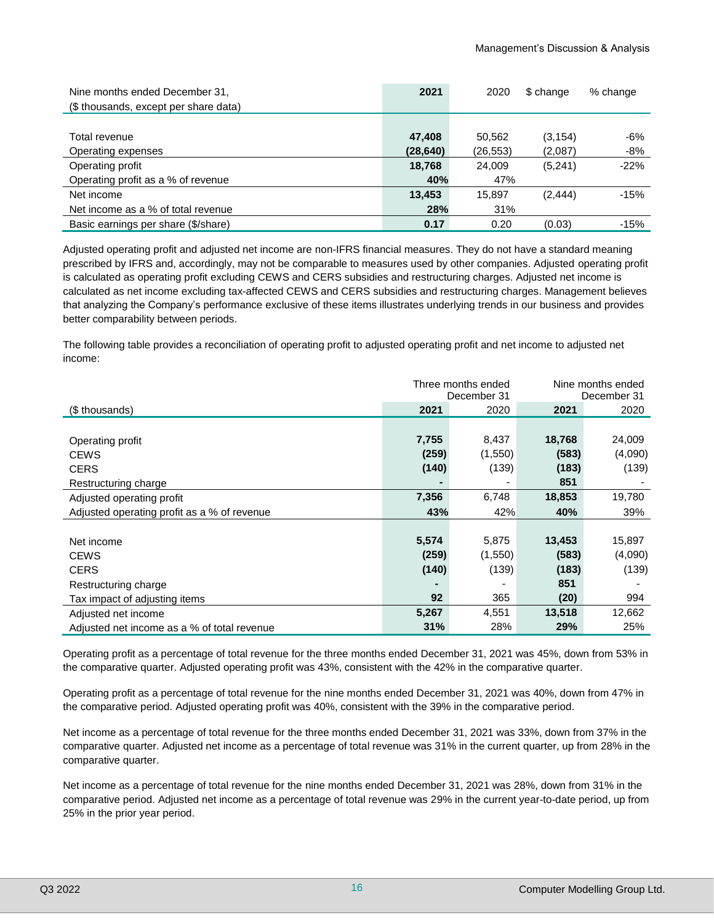| Nine months ended December 31,<br>(\$ thousands, except per share data) | 2021      | 2020     | \$ change | % change |
|-------------------------------------------------------------------------|-----------|----------|-----------|----------|
|                                                                         |           |          |           |          |
| Total revenue                                                           | 47,408    | 50.562   | (3, 154)  | -6%      |
| Operating expenses                                                      | (28, 640) | (26,553) | (2,087)   | -8%      |
| Operating profit                                                        | 18,768    | 24.009   | (5,241)   | $-22%$   |
| Operating profit as a % of revenue                                      | 40%       | 47%      |           |          |
| Net income                                                              | 13,453    | 15.897   | (2, 444)  | $-15%$   |
| Net income as a % of total revenue                                      | 28%       | 31%      |           |          |
| Basic earnings per share (\$/share)                                     | 0.17      | 0.20     | (0.03)    | $-15%$   |

Adjusted operating profit and adjusted net income are non-IFRS financial measures. They do not have a standard meaning prescribed by IFRS and, accordingly, may not be comparable to measures used by other companies. Adjusted operating profit is calculated as operating profit excluding CEWS and CERS subsidies and restructuring charges. Adjusted net income is calculated as net income excluding tax-affected CEWS and CERS subsidies and restructuring charges. Management believes that analyzing the Company's performance exclusive of these items illustrates underlying trends in our business and provides better comparability between periods.

The following table provides a reconciliation of operating profit to adjusted operating profit and net income to adjusted net income:

|                                             | Three months ended<br>December 31 |         | Nine months ended<br>December 31 |         |
|---------------------------------------------|-----------------------------------|---------|----------------------------------|---------|
| (\$ thousands)                              | 2021                              | 2020    | 2021                             | 2020    |
|                                             |                                   |         |                                  |         |
| Operating profit                            | 7,755                             | 8,437   | 18,768                           | 24,009  |
| <b>CEWS</b>                                 | (259)                             | (1,550) | (583)                            | (4,090) |
| <b>CERS</b>                                 | (140)                             | (139)   | (183)                            | (139)   |
| Restructuring charge                        |                                   | ۰       | 851                              |         |
| Adjusted operating profit                   | 7,356                             | 6,748   | 18,853                           | 19,780  |
| Adjusted operating profit as a % of revenue | 43%                               | 42%     | 40%                              | 39%     |
|                                             |                                   |         |                                  |         |
| Net income                                  | 5,574                             | 5,875   | 13,453                           | 15,897  |
| <b>CEWS</b>                                 | (259)                             | (1,550) | (583)                            | (4,090) |
| <b>CERS</b>                                 | (140)                             | (139)   | (183)                            | (139)   |
| Restructuring charge                        |                                   |         | 851                              |         |
| Tax impact of adjusting items               | 92                                | 365     | (20)                             | 994     |
| Adjusted net income                         | 5,267                             | 4,551   | 13,518                           | 12,662  |
| Adjusted net income as a % of total revenue | 31%                               | 28%     | 29%                              | 25%     |

Operating profit as a percentage of total revenue for the three months ended December 31, 2021 was 45%, down from 53% in the comparative quarter. Adjusted operating profit was 43%, consistent with the 42% in the comparative quarter.

Operating profit as a percentage of total revenue for the nine months ended December 31, 2021 was 40%, down from 47% in the comparative period. Adjusted operating profit was 40%, consistent with the 39% in the comparative period.

Net income as a percentage of total revenue for the three months ended December 31, 2021 was 33%, down from 37% in the comparative quarter. Adjusted net income as a percentage of total revenue was 31% in the current quarter, up from 28% in the comparative quarter.

Net income as a percentage of total revenue for the nine months ended December 31, 2021 was 28%, down from 31% in the comparative period. Adjusted net income as a percentage of total revenue was 29% in the current year-to-date period, up from 25% in the prior year period.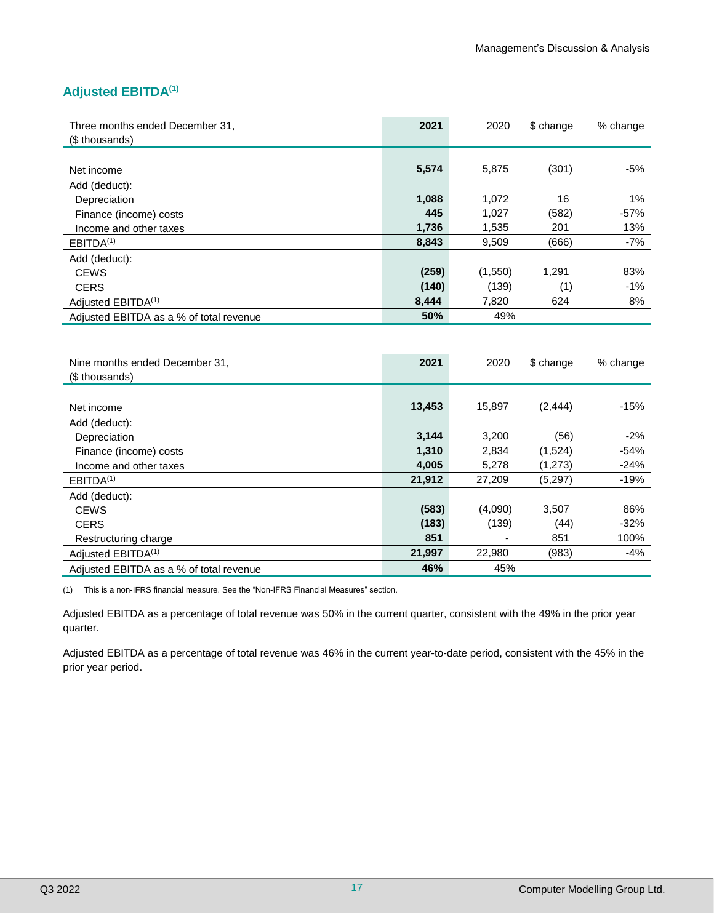# **Adjusted EBITDA(1)**

| Three months ended December 31,<br>(\$ thousands) | 2021  | 2020    | \$ change | % change |
|---------------------------------------------------|-------|---------|-----------|----------|
|                                                   |       |         |           |          |
| Net income                                        | 5,574 | 5,875   | (301)     | $-5%$    |
| Add (deduct):                                     |       |         |           |          |
| Depreciation                                      | 1,088 | 1,072   | 16        | 1%       |
| Finance (income) costs                            | 445   | 1,027   | (582)     | $-57%$   |
| Income and other taxes                            | 1,736 | 1,535   | 201       | 13%      |
| EBITDA <sup>(1)</sup>                             | 8,843 | 9,509   | (666)     | $-7%$    |
| Add (deduct):                                     |       |         |           |          |
| <b>CEWS</b>                                       | (259) | (1,550) | 1,291     | 83%      |
| <b>CERS</b>                                       | (140) | (139)   | (1)       | $-1%$    |
| Adjusted EBITDA <sup>(1)</sup>                    | 8,444 | 7,820   | 624       | 8%       |
| Adjusted EBITDA as a % of total revenue           | 50%   | 49%     |           |          |

| Nine months ended December 31.<br>(\$ thousands) | 2021   | 2020                     | \$ change | % change |
|--------------------------------------------------|--------|--------------------------|-----------|----------|
|                                                  |        | 15,897                   |           | $-15%$   |
| Net income                                       | 13,453 |                          | (2, 444)  |          |
| Add (deduct):                                    |        |                          |           |          |
| Depreciation                                     | 3,144  | 3.200                    | (56)      | $-2%$    |
| Finance (income) costs                           | 1,310  | 2,834                    | (1,524)   | $-54%$   |
| Income and other taxes                           | 4,005  | 5,278                    | (1,273)   | $-24%$   |
| EBITDA <sup>(1)</sup>                            | 21,912 | 27,209                   | (5,297)   | $-19%$   |
| Add (deduct):                                    |        |                          |           |          |
| <b>CEWS</b>                                      | (583)  | (4,090)                  | 3,507     | 86%      |
| <b>CERS</b>                                      | (183)  | (139)                    | (44)      | $-32%$   |
| Restructuring charge                             | 851    | $\overline{\phantom{a}}$ | 851       | 100%     |
| Adjusted EBITDA <sup>(1)</sup>                   | 21,997 | 22,980                   | (983)     | $-4%$    |
| Adjusted EBITDA as a % of total revenue          | 46%    | 45%                      |           |          |

(1) This is a non-IFRS financial measure. See the "Non-IFRS Financial Measures" section.

Adjusted EBITDA as a percentage of total revenue was 50% in the current quarter, consistent with the 49% in the prior year quarter.

Adjusted EBITDA as a percentage of total revenue was 46% in the current year-to-date period, consistent with the 45% in the prior year period.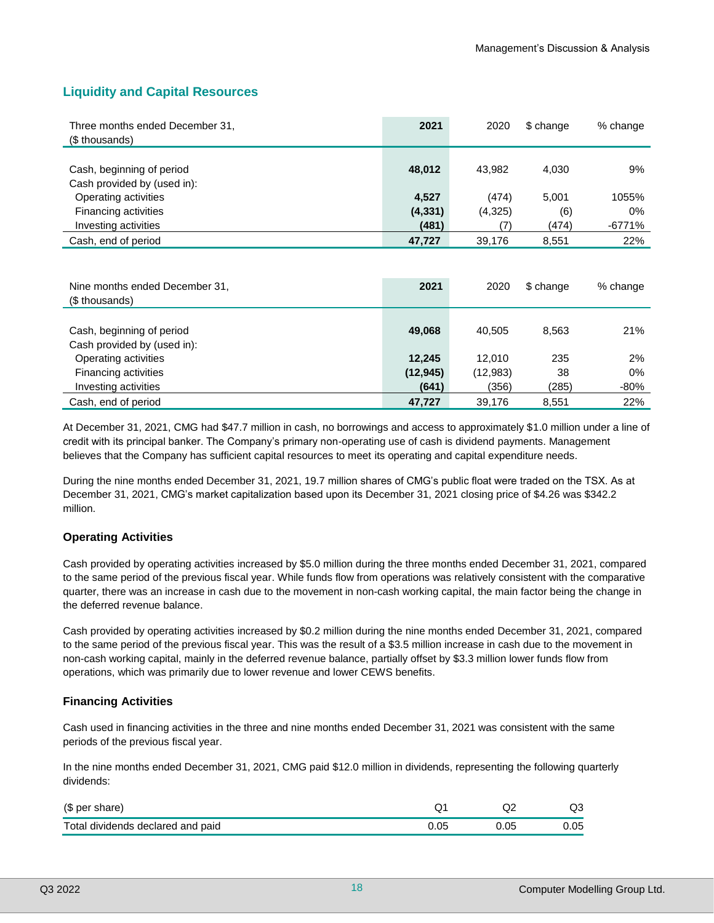# **Liquidity and Capital Resources**

| Three months ended December 31,<br>(\$ thousands)        | 2021              | 2020            | \$ change      | % change        |
|----------------------------------------------------------|-------------------|-----------------|----------------|-----------------|
| Cash, beginning of period<br>Cash provided by (used in): | 48,012            | 43,982          | 4,030          | 9%              |
| Operating activities                                     | 4,527             | (474)           | 5,001          | 1055%           |
| Financing activities<br>Investing activities             | (4, 331)<br>(481) | (4,325)<br>(7)  | (6)<br>(474)   | $0\%$<br>-6771% |
| Cash, end of period                                      | 47,727            | 39,176          | 8,551          | 22%             |
| Nine months ended December 31,<br>(\$ thousands)         | 2021              | 2020            | \$ change      | % change        |
| Cash, beginning of period<br>Cash provided by (used in): | 49,068            | 40,505          | 8,563          | 21%             |
| Operating activities                                     | 12,245            | 12,010          | 235            | 2%              |
| Financing activities                                     | (12, 945)         | (12, 983)       | 38             | 0%              |
| Investing activities<br>Cash, end of period              | (641)<br>47,727   | (356)<br>39,176 | (285)<br>8,551 | $-80%$<br>22%   |
|                                                          |                   |                 |                |                 |

At December 31, 2021, CMG had \$47.7 million in cash, no borrowings and access to approximately \$1.0 million under a line of credit with its principal banker. The Company's primary non-operating use of cash is dividend payments. Management believes that the Company has sufficient capital resources to meet its operating and capital expenditure needs.

During the nine months ended December 31, 2021, 19.7 million shares of CMG's public float were traded on the TSX. As at December 31, 2021, CMG's market capitalization based upon its December 31, 2021 closing price of \$4.26 was \$342.2 million.

#### **Operating Activities**

Cash provided by operating activities increased by \$5.0 million during the three months ended December 31, 2021, compared to the same period of the previous fiscal year. While funds flow from operations was relatively consistent with the comparative quarter, there was an increase in cash due to the movement in non-cash working capital, the main factor being the change in the deferred revenue balance.

Cash provided by operating activities increased by \$0.2 million during the nine months ended December 31, 2021, compared to the same period of the previous fiscal year. This was the result of a \$3.5 million increase in cash due to the movement in non-cash working capital, mainly in the deferred revenue balance, partially offset by \$3.3 million lower funds flow from operations, which was primarily due to lower revenue and lower CEWS benefits.

#### **Financing Activities**

Cash used in financing activities in the three and nine months ended December 31, 2021 was consistent with the same periods of the previous fiscal year.

In the nine months ended December 31, 2021, CMG paid \$12.0 million in dividends, representing the following quarterly dividends:

| (\$ per share)                    |      | w    |
|-----------------------------------|------|------|
| Total dividends declared and paid | 05., | 0.O5 |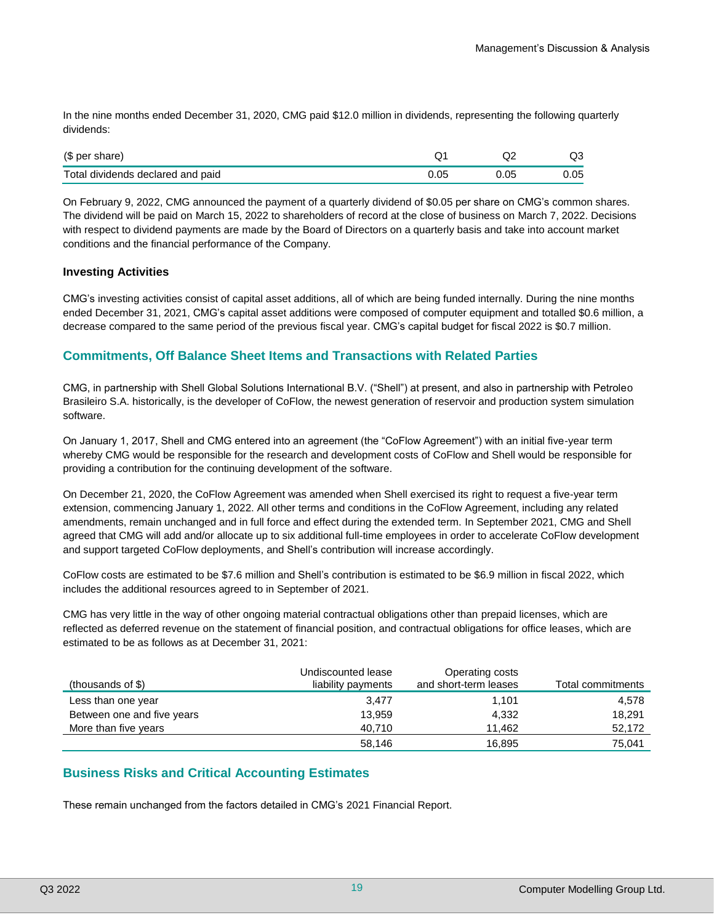In the nine months ended December 31, 2020, CMG paid \$12.0 million in dividends, representing the following quarterly dividends:

| (\$ per share)                    |      | w    |
|-----------------------------------|------|------|
| Total dividends declared and paid | ን.05 | 0.05 |

On February 9, 2022, CMG announced the payment of a quarterly dividend of \$0.05 per share on CMG's common shares. The dividend will be paid on March 15, 2022 to shareholders of record at the close of business on March 7, 2022. Decisions with respect to dividend payments are made by the Board of Directors on a quarterly basis and take into account market conditions and the financial performance of the Company.

#### **Investing Activities**

CMG's investing activities consist of capital asset additions, all of which are being funded internally. During the nine months ended December 31, 2021, CMG's capital asset additions were composed of computer equipment and totalled \$0.6 million, a decrease compared to the same period of the previous fiscal year. CMG's capital budget for fiscal 2022 is \$0.7 million.

# **Commitments, Off Balance Sheet Items and Transactions with Related Parties**

CMG, in partnership with Shell Global Solutions International B.V. ("Shell") at present, and also in partnership with Petroleo Brasileiro S.A. historically, is the developer of CoFlow, the newest generation of reservoir and production system simulation software.

On January 1, 2017, Shell and CMG entered into an agreement (the "CoFlow Agreement") with an initial five-year term whereby CMG would be responsible for the research and development costs of CoFlow and Shell would be responsible for providing a contribution for the continuing development of the software.

On December 21, 2020, the CoFlow Agreement was amended when Shell exercised its right to request a five-year term extension, commencing January 1, 2022. All other terms and conditions in the CoFlow Agreement, including any related amendments, remain unchanged and in full force and effect during the extended term. In September 2021, CMG and Shell agreed that CMG will add and/or allocate up to six additional full-time employees in order to accelerate CoFlow development and support targeted CoFlow deployments, and Shell's contribution will increase accordingly.

CoFlow costs are estimated to be \$7.6 million and Shell's contribution is estimated to be \$6.9 million in fiscal 2022, which includes the additional resources agreed to in September of 2021.

CMG has very little in the way of other ongoing material contractual obligations other than prepaid licenses, which are reflected as deferred revenue on the statement of financial position, and contractual obligations for office leases, which are estimated to be as follows as at December 31, 2021:

| (thousands of \$)          | Undiscounted lease<br>liability payments | Operating costs<br>and short-term leases | Total commitments |
|----------------------------|------------------------------------------|------------------------------------------|-------------------|
| Less than one year         | 3.477                                    | 1.101                                    | 4.578             |
| Between one and five years | 13,959                                   | 4,332                                    | 18,291            |
| More than five years       | 40.710                                   | 11.462                                   | 52,172            |
|                            | 58,146                                   | 16,895                                   | 75.041            |

# **Business Risks and Critical Accounting Estimates**

These remain unchanged from the factors detailed in CMG's 2021 Financial Report.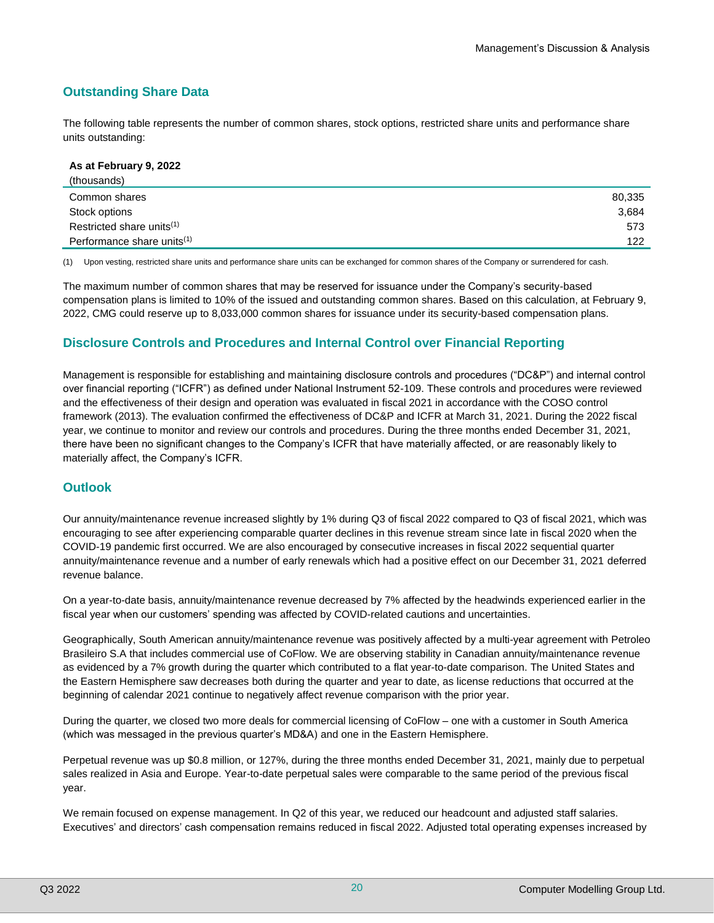# **Outstanding Share Data**

The following table represents the number of common shares, stock options, restricted share units and performance share units outstanding:

| As at February 9, 2022                 |        |
|----------------------------------------|--------|
| (thousands)                            |        |
| Common shares                          | 80,335 |
| Stock options                          | 3,684  |
| Restricted share units <sup>(1)</sup>  | 573    |
| Performance share units <sup>(1)</sup> | 122    |

(1) Upon vesting, restricted share units and performance share units can be exchanged for common shares of the Company or surrendered for cash.

The maximum number of common shares that may be reserved for issuance under the Company's security-based compensation plans is limited to 10% of the issued and outstanding common shares. Based on this calculation, at February 9, 2022, CMG could reserve up to 8,033,000 common shares for issuance under its security-based compensation plans.

# **Disclosure Controls and Procedures and Internal Control over Financial Reporting**

Management is responsible for establishing and maintaining disclosure controls and procedures ("DC&P") and internal control over financial reporting ("ICFR") as defined under National Instrument 52-109. These controls and procedures were reviewed and the effectiveness of their design and operation was evaluated in fiscal 2021 in accordance with the COSO control framework (2013). The evaluation confirmed the effectiveness of DC&P and ICFR at March 31, 2021. During the 2022 fiscal year, we continue to monitor and review our controls and procedures. During the three months ended December 31, 2021, there have been no significant changes to the Company's ICFR that have materially affected, or are reasonably likely to materially affect, the Company's ICFR.

# **Outlook**

Our annuity/maintenance revenue increased slightly by 1% during Q3 of fiscal 2022 compared to Q3 of fiscal 2021, which was encouraging to see after experiencing comparable quarter declines in this revenue stream since late in fiscal 2020 when the COVID-19 pandemic first occurred. We are also encouraged by consecutive increases in fiscal 2022 sequential quarter annuity/maintenance revenue and a number of early renewals which had a positive effect on our December 31, 2021 deferred revenue balance.

On a year-to-date basis, annuity/maintenance revenue decreased by 7% affected by the headwinds experienced earlier in the fiscal year when our customers' spending was affected by COVID-related cautions and uncertainties.

Geographically, South American annuity/maintenance revenue was positively affected by a multi-year agreement with Petroleo Brasileiro S.A that includes commercial use of CoFlow. We are observing stability in Canadian annuity/maintenance revenue as evidenced by a 7% growth during the quarter which contributed to a flat year-to-date comparison. The United States and the Eastern Hemisphere saw decreases both during the quarter and year to date, as license reductions that occurred at the beginning of calendar 2021 continue to negatively affect revenue comparison with the prior year.

During the quarter, we closed two more deals for commercial licensing of CoFlow – one with a customer in South America (which was messaged in the previous quarter's MD&A) and one in the Eastern Hemisphere.

Perpetual revenue was up \$0.8 million, or 127%, during the three months ended December 31, 2021, mainly due to perpetual sales realized in Asia and Europe. Year-to-date perpetual sales were comparable to the same period of the previous fiscal year.

We remain focused on expense management. In Q2 of this year, we reduced our headcount and adjusted staff salaries. Executives' and directors' cash compensation remains reduced in fiscal 2022. Adjusted total operating expenses increased by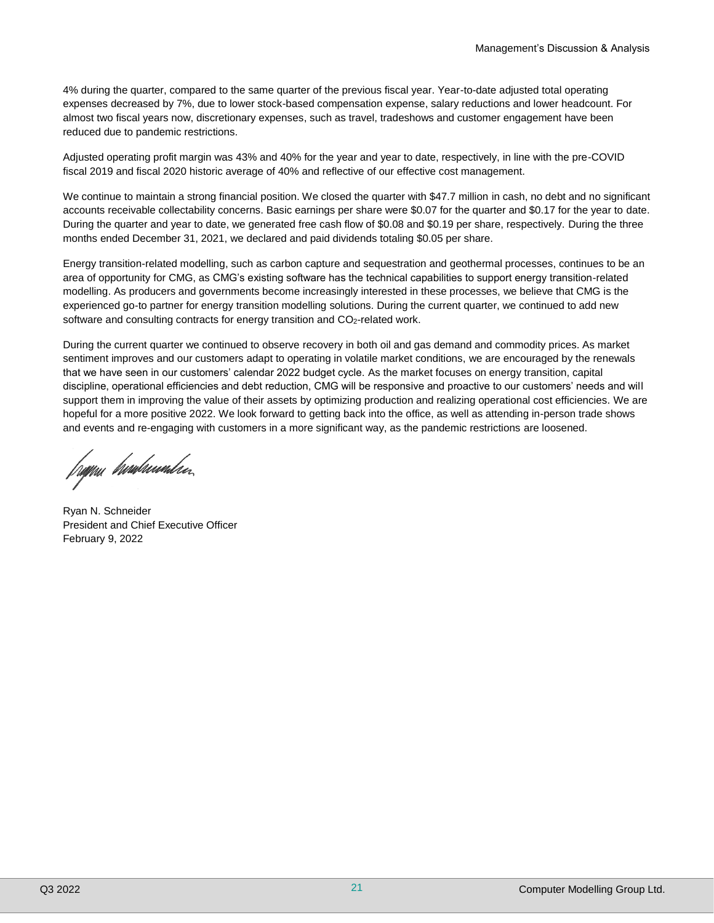4% during the quarter, compared to the same quarter of the previous fiscal year. Year-to-date adjusted total operating expenses decreased by 7%, due to lower stock-based compensation expense, salary reductions and lower headcount. For almost two fiscal years now, discretionary expenses, such as travel, tradeshows and customer engagement have been reduced due to pandemic restrictions.

Adjusted operating profit margin was 43% and 40% for the year and year to date, respectively, in line with the pre-COVID fiscal 2019 and fiscal 2020 historic average of 40% and reflective of our effective cost management.

We continue to maintain a strong financial position. We closed the quarter with \$47.7 million in cash, no debt and no significant accounts receivable collectability concerns. Basic earnings per share were \$0.07 for the quarter and \$0.17 for the year to date. During the quarter and year to date, we generated free cash flow of \$0.08 and \$0.19 per share, respectively. During the three months ended December 31, 2021, we declared and paid dividends totaling \$0.05 per share.

Energy transition-related modelling, such as carbon capture and sequestration and geothermal processes, continues to be an area of opportunity for CMG, as CMG's existing software has the technical capabilities to support energy transition-related modelling. As producers and governments become increasingly interested in these processes, we believe that CMG is the experienced go-to partner for energy transition modelling solutions. During the current quarter, we continued to add new software and consulting contracts for energy transition and CO<sub>2</sub>-related work.

During the current quarter we continued to observe recovery in both oil and gas demand and commodity prices. As market sentiment improves and our customers adapt to operating in volatile market conditions, we are encouraged by the renewals that we have seen in our customers' calendar 2022 budget cycle. As the market focuses on energy transition, capital discipline, operational efficiencies and debt reduction, CMG will be responsive and proactive to our customers' needs and will support them in improving the value of their assets by optimizing production and realizing operational cost efficiencies. We are hopeful for a more positive 2022. We look forward to getting back into the office, as well as attending in-person trade shows and events and re-engaging with customers in a more significant way, as the pandemic restrictions are loosened.

frøpru *bronbusondse*r.

Ryan N. Schneider President and Chief Executive Officer February 9, 2022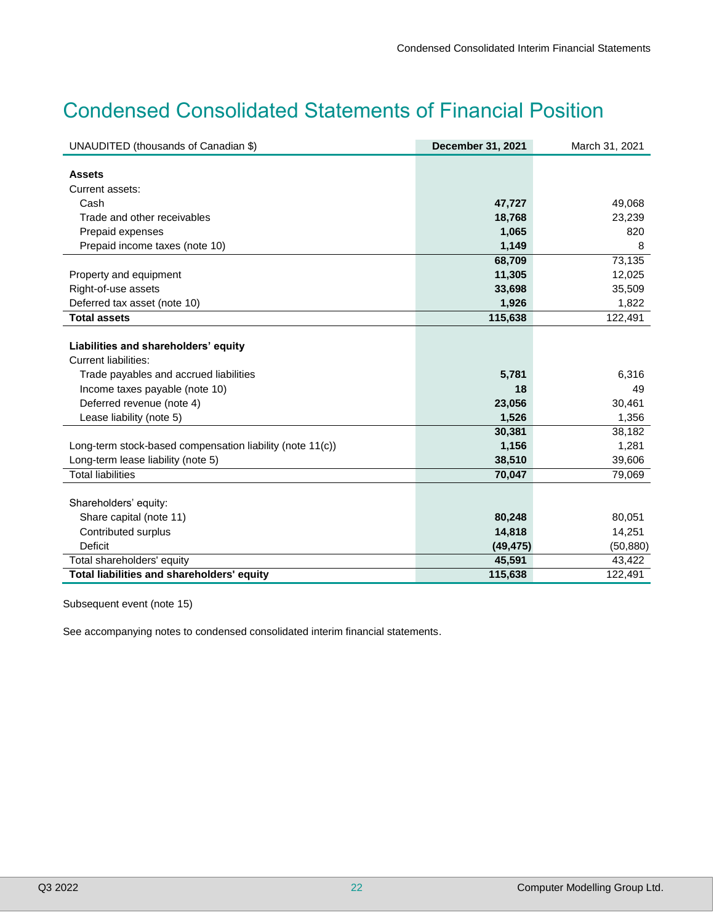# Condensed Consolidated Statements of Financial Position

| UNAUDITED (thousands of Canadian \$)                      | December 31, 2021 | March 31, 2021 |
|-----------------------------------------------------------|-------------------|----------------|
|                                                           |                   |                |
| <b>Assets</b>                                             |                   |                |
| Current assets:                                           |                   |                |
| Cash                                                      | 47,727            | 49,068         |
| Trade and other receivables                               | 18,768            | 23,239         |
| Prepaid expenses                                          | 1,065             | 820            |
| Prepaid income taxes (note 10)                            | 1,149             | 8              |
|                                                           | 68,709            | 73,135         |
| Property and equipment                                    | 11,305            | 12,025         |
| Right-of-use assets                                       | 33,698            | 35,509         |
| Deferred tax asset (note 10)                              | 1,926             | 1,822          |
| <b>Total assets</b>                                       | 115,638           | 122,491        |
|                                                           |                   |                |
| Liabilities and shareholders' equity                      |                   |                |
| <b>Current liabilities:</b>                               |                   |                |
| Trade payables and accrued liabilities                    | 5,781             | 6,316          |
| Income taxes payable (note 10)                            | 18                | 49             |
| Deferred revenue (note 4)                                 | 23,056            | 30,461         |
| Lease liability (note 5)                                  | 1,526             | 1,356          |
|                                                           | 30,381            | 38,182         |
| Long-term stock-based compensation liability (note 11(c)) | 1,156             | 1,281          |
| Long-term lease liability (note 5)                        | 38,510            | 39,606         |
| <b>Total liabilities</b>                                  | 70,047            | 79,069         |
|                                                           |                   |                |
| Shareholders' equity:                                     |                   |                |
| Share capital (note 11)                                   | 80,248            | 80,051         |
| Contributed surplus                                       | 14,818            | 14,251         |
| <b>Deficit</b>                                            | (49, 475)         | (50, 880)      |
| Total shareholders' equity                                | 45,591            | 43,422         |
| Total liabilities and shareholders' equity                | 115,638           | 122,491        |

Subsequent event (note 15)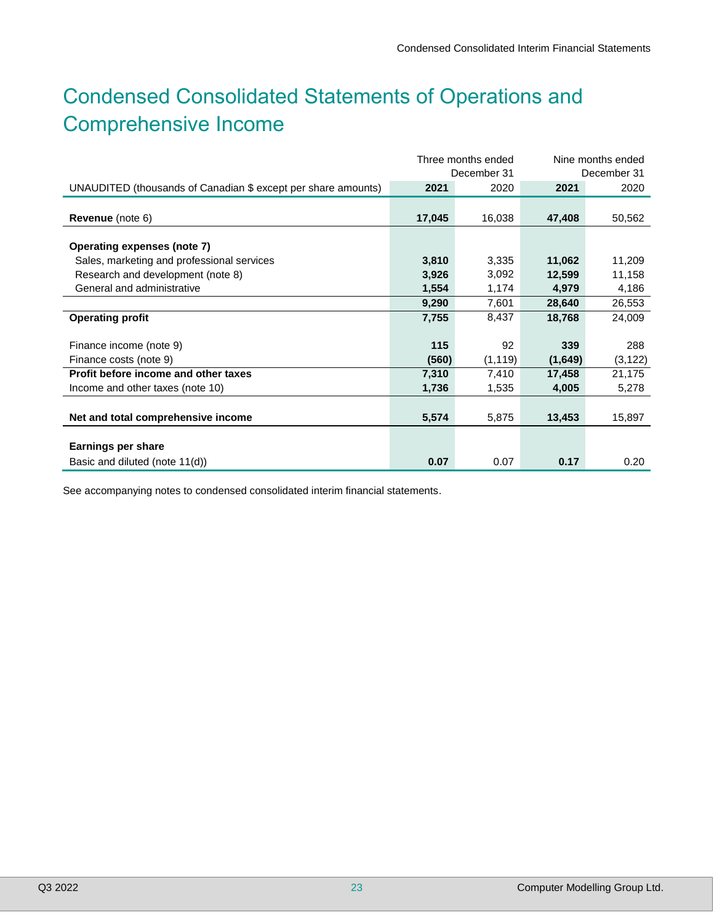# Condensed Consolidated Statements of Operations and Comprehensive Income

|                                                               | Three months ended |             | Nine months ended |             |
|---------------------------------------------------------------|--------------------|-------------|-------------------|-------------|
|                                                               |                    | December 31 |                   | December 31 |
| UNAUDITED (thousands of Canadian \$ except per share amounts) | 2021               | 2020        | 2021              | 2020        |
|                                                               |                    |             |                   |             |
| <b>Revenue</b> (note 6)                                       | 17,045             | 16,038      | 47,408            | 50,562      |
|                                                               |                    |             |                   |             |
| <b>Operating expenses (note 7)</b>                            |                    |             |                   |             |
| Sales, marketing and professional services                    | 3,810              | 3,335       | 11,062            | 11,209      |
| Research and development (note 8)                             | 3,926              | 3,092       | 12,599            | 11,158      |
| General and administrative                                    | 1,554              | 1,174       | 4,979             | 4,186       |
|                                                               | 9,290              | 7,601       | 28,640            | 26,553      |
| <b>Operating profit</b>                                       | 7,755              | 8,437       | 18,768            | 24,009      |
|                                                               |                    |             |                   |             |
| Finance income (note 9)                                       | 115                | 92          | 339               | 288         |
| Finance costs (note 9)                                        | (560)              | (1, 119)    | (1,649)           | (3, 122)    |
| Profit before income and other taxes                          | 7,310              | 7,410       | 17,458            | 21,175      |
| Income and other taxes (note 10)                              | 1,736              | 1,535       | 4,005             | 5,278       |
|                                                               |                    |             |                   |             |
| Net and total comprehensive income                            | 5,574              | 5,875       | 13,453            | 15,897      |
|                                                               |                    |             |                   |             |
| Earnings per share                                            |                    |             |                   |             |
| Basic and diluted (note 11(d))                                | 0.07               | 0.07        | 0.17              | 0.20        |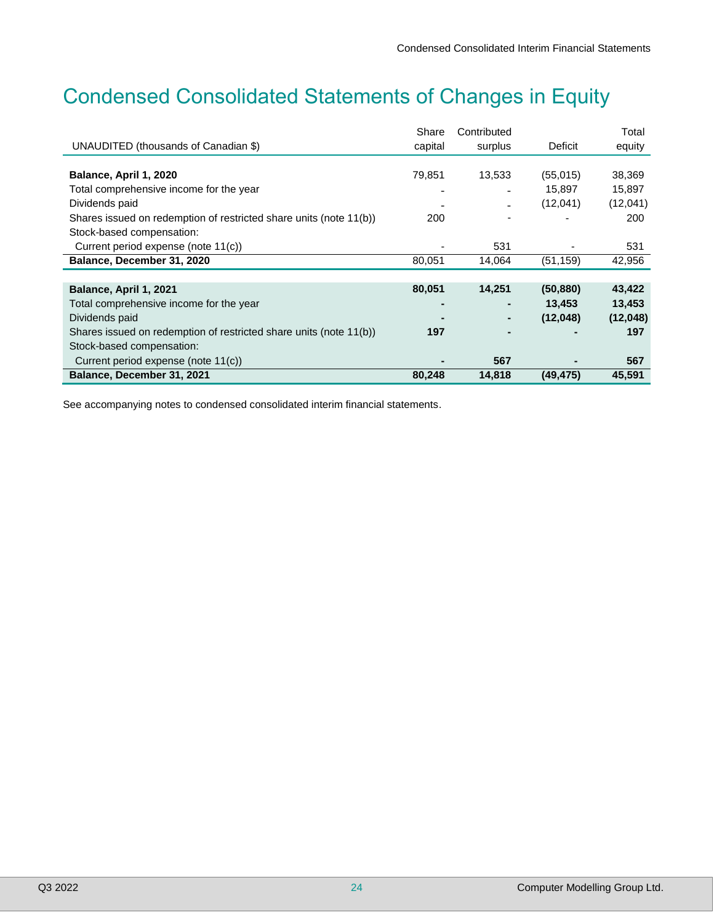# Condensed Consolidated Statements of Changes in Equity

|                                                                    | Share   | Contributed              |           | Total    |
|--------------------------------------------------------------------|---------|--------------------------|-----------|----------|
| UNAUDITED (thousands of Canadian \$)                               | capital | surplus                  | Deficit   | equity   |
|                                                                    |         |                          |           |          |
| Balance, April 1, 2020                                             | 79,851  | 13,533                   | (55,015)  | 38,369   |
| Total comprehensive income for the year                            |         |                          | 15,897    | 15,897   |
| Dividends paid                                                     |         | $\overline{\phantom{0}}$ | (12,041)  | (12,041) |
| Shares issued on redemption of restricted share units (note 11(b)) | 200     |                          |           | 200      |
| Stock-based compensation:                                          |         |                          |           |          |
| Current period expense (note 11(c))                                |         | 531                      |           | 531      |
| Balance, December 31, 2020                                         | 80,051  | 14,064                   | (51, 159) | 42,956   |
|                                                                    |         |                          |           |          |
| Balance, April 1, 2021                                             | 80,051  | 14,251                   | (50, 880) | 43,422   |
| Total comprehensive income for the year                            |         |                          | 13,453    | 13,453   |
| Dividends paid                                                     |         |                          | (12,048)  | (12,048) |
| Shares issued on redemption of restricted share units (note 11(b)) | 197     |                          |           | 197      |
| Stock-based compensation:                                          |         |                          |           |          |
| Current period expense (note 11(c))                                |         | 567                      |           | 567      |
| Balance, December 31, 2021                                         | 80,248  | 14,818                   | (49, 475) | 45,591   |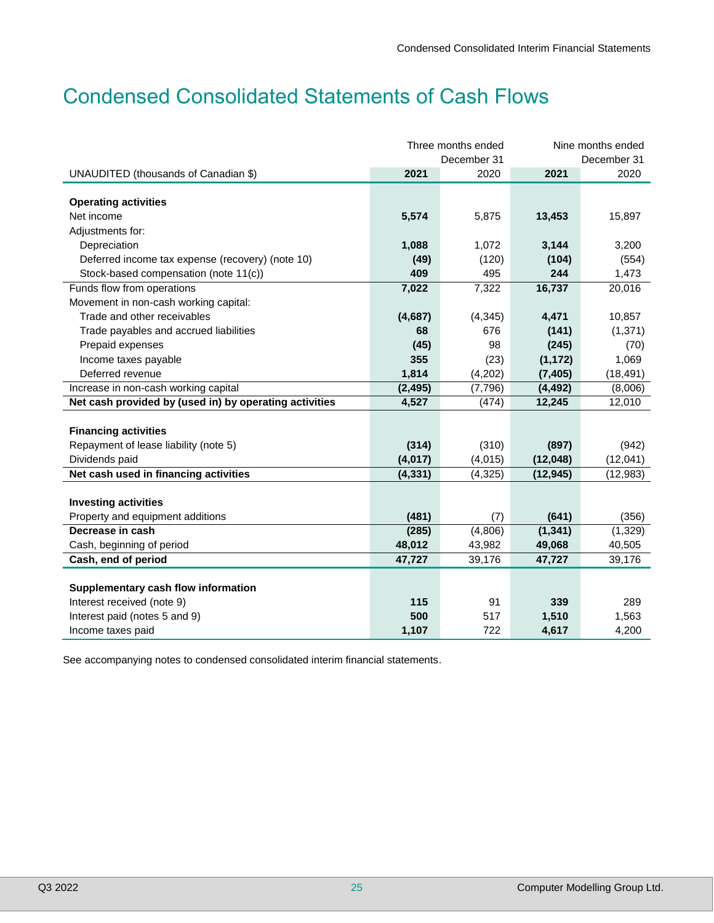# Condensed Consolidated Statements of Cash Flows

|                                                        | Three months ended<br>December 31 |          |           | Nine months ended<br>December 31 |
|--------------------------------------------------------|-----------------------------------|----------|-----------|----------------------------------|
| UNAUDITED (thousands of Canadian \$)                   | 2021                              | 2020     | 2021      | 2020                             |
|                                                        |                                   |          |           |                                  |
| <b>Operating activities</b>                            |                                   |          |           |                                  |
| Net income                                             | 5,574                             | 5,875    | 13,453    | 15,897                           |
| Adjustments for:                                       |                                   |          |           |                                  |
| Depreciation                                           | 1,088                             | 1,072    | 3,144     | 3,200                            |
| Deferred income tax expense (recovery) (note 10)       | (49)                              | (120)    | (104)     | (554)                            |
| Stock-based compensation (note 11(c))                  | 409                               | 495      | 244       | 1,473                            |
| Funds flow from operations                             | 7,022                             | 7,322    | 16,737    | 20,016                           |
| Movement in non-cash working capital:                  |                                   |          |           |                                  |
| Trade and other receivables                            | (4,687)                           | (4, 345) | 4,471     | 10,857                           |
| Trade payables and accrued liabilities                 | 68                                | 676      | (141)     | (1, 371)                         |
| Prepaid expenses                                       | (45)                              | 98       | (245)     | (70)                             |
| Income taxes payable                                   | 355                               | (23)     | (1, 172)  | 1,069                            |
| Deferred revenue                                       | 1,814                             | (4,202)  | (7, 405)  | (18, 491)                        |
| Increase in non-cash working capital                   | (2, 495)                          | (7, 796) | (4, 492)  | (8,006)                          |
| Net cash provided by (used in) by operating activities | 4,527                             | (474)    | 12,245    | 12,010                           |
|                                                        |                                   |          |           |                                  |
| <b>Financing activities</b>                            |                                   |          |           |                                  |
| Repayment of lease liability (note 5)                  | (314)                             | (310)    | (897)     | (942)                            |
| Dividends paid                                         | (4,017)                           | (4,015)  | (12,048)  | (12,041)                         |
| Net cash used in financing activities                  | (4, 331)                          | (4, 325) | (12, 945) | (12, 983)                        |
|                                                        |                                   |          |           |                                  |
| <b>Investing activities</b>                            |                                   |          |           |                                  |
| Property and equipment additions                       | (481)                             | (7)      | (641)     | (356)                            |
| Decrease in cash                                       | (285)                             | (4,806)  | (1, 341)  | (1, 329)                         |
| Cash, beginning of period                              | 48,012                            | 43,982   | 49,068    | 40,505                           |
| Cash, end of period                                    | 47,727                            | 39,176   | 47,727    | 39,176                           |
|                                                        |                                   |          |           |                                  |
| Supplementary cash flow information                    |                                   |          |           |                                  |
| Interest received (note 9)                             | 115                               | 91       | 339       | 289                              |
| Interest paid (notes 5 and 9)                          | 500                               | 517      | 1,510     | 1,563                            |
| Income taxes paid                                      | 1,107                             | 722      | 4,617     | 4,200                            |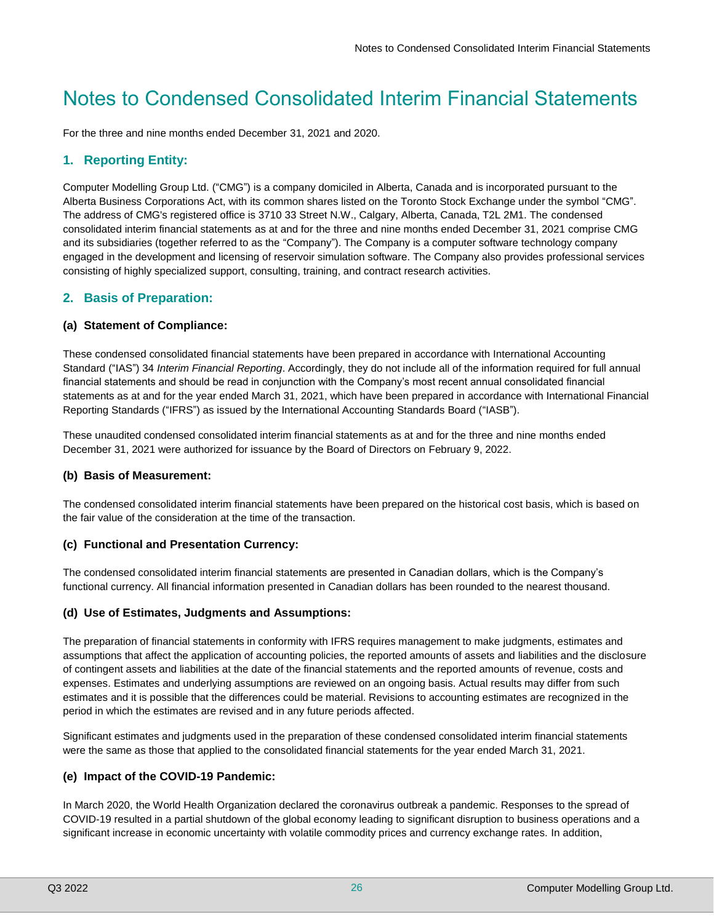# Notes to Condensed Consolidated Interim Financial Statements

For the three and nine months ended December 31, 2021 and 2020.

# **1. Reporting Entity:**

Computer Modelling Group Ltd. ("CMG") is a company domiciled in Alberta, Canada and is incorporated pursuant to the Alberta Business Corporations Act, with its common shares listed on the Toronto Stock Exchange under the symbol "CMG". The address of CMG's registered office is 3710 33 Street N.W., Calgary, Alberta, Canada, T2L 2M1. The condensed consolidated interim financial statements as at and for the three and nine months ended December 31, 2021 comprise CMG and its subsidiaries (together referred to as the "Company"). The Company is a computer software technology company engaged in the development and licensing of reservoir simulation software. The Company also provides professional services consisting of highly specialized support, consulting, training, and contract research activities.

# **2. Basis of Preparation:**

#### **(a) Statement of Compliance:**

These condensed consolidated financial statements have been prepared in accordance with International Accounting Standard ("IAS") 34 *Interim Financial Reporting*. Accordingly, they do not include all of the information required for full annual financial statements and should be read in conjunction with the Company's most recent annual consolidated financial statements as at and for the year ended March 31, 2021, which have been prepared in accordance with International Financial Reporting Standards ("IFRS") as issued by the International Accounting Standards Board ("IASB").

These unaudited condensed consolidated interim financial statements as at and for the three and nine months ended December 31, 2021 were authorized for issuance by the Board of Directors on February 9, 2022.

#### **(b) Basis of Measurement:**

The condensed consolidated interim financial statements have been prepared on the historical cost basis, which is based on the fair value of the consideration at the time of the transaction.

#### **(c) Functional and Presentation Currency:**

The condensed consolidated interim financial statements are presented in Canadian dollars, which is the Company's functional currency. All financial information presented in Canadian dollars has been rounded to the nearest thousand.

#### **(d) Use of Estimates, Judgments and Assumptions:**

The preparation of financial statements in conformity with IFRS requires management to make judgments, estimates and assumptions that affect the application of accounting policies, the reported amounts of assets and liabilities and the disclosure of contingent assets and liabilities at the date of the financial statements and the reported amounts of revenue, costs and expenses. Estimates and underlying assumptions are reviewed on an ongoing basis. Actual results may differ from such estimates and it is possible that the differences could be material. Revisions to accounting estimates are recognized in the period in which the estimates are revised and in any future periods affected.

Significant estimates and judgments used in the preparation of these condensed consolidated interim financial statements were the same as those that applied to the consolidated financial statements for the year ended March 31, 2021.

#### **(e) Impact of the COVID-19 Pandemic:**

In March 2020, the World Health Organization declared the coronavirus outbreak a pandemic. Responses to the spread of COVID-19 resulted in a partial shutdown of the global economy leading to significant disruption to business operations and a significant increase in economic uncertainty with volatile commodity prices and currency exchange rates. In addition,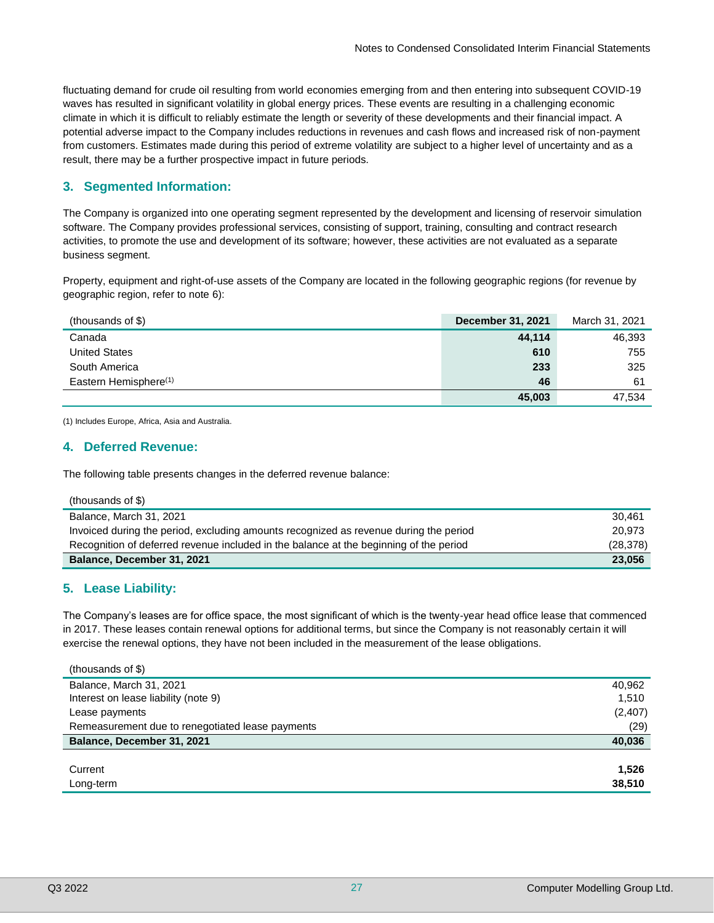fluctuating demand for crude oil resulting from world economies emerging from and then entering into subsequent COVID-19 waves has resulted in significant volatility in global energy prices. These events are resulting in a challenging economic climate in which it is difficult to reliably estimate the length or severity of these developments and their financial impact. A potential adverse impact to the Company includes reductions in revenues and cash flows and increased risk of non-payment from customers. Estimates made during this period of extreme volatility are subject to a higher level of uncertainty and as a result, there may be a further prospective impact in future periods.

# **3. Segmented Information:**

The Company is organized into one operating segment represented by the development and licensing of reservoir simulation software. The Company provides professional services, consisting of support, training, consulting and contract research activities, to promote the use and development of its software; however, these activities are not evaluated as a separate business segment.

Property, equipment and right-of-use assets of the Company are located in the following geographic regions (for revenue by geographic region, refer to note 6):

| (thousands of \$)                 | <b>December 31, 2021</b> | March 31, 2021 |
|-----------------------------------|--------------------------|----------------|
| Canada                            | 44.114                   | 46,393         |
| <b>United States</b>              | 610                      | 755            |
| South America                     | 233                      | 325            |
| Eastern Hemisphere <sup>(1)</sup> | 46                       | 61             |
|                                   | 45.003                   | 47.534         |

(1) Includes Europe, Africa, Asia and Australia.

## **4. Deferred Revenue:**

The following table presents changes in the deferred revenue balance:

| Invoiced during the period, excluding amounts recognized as revenue during the period  | 20.973    |
|----------------------------------------------------------------------------------------|-----------|
| Recognition of deferred revenue included in the balance at the beginning of the period | (28, 378) |
| Balance, December 31, 2021                                                             | 23.056    |

#### **5. Lease Liability:**

The Company's leases are for office space, the most significant of which is the twenty-year head office lease that commenced in 2017. These leases contain renewal options for additional terms, but since the Company is not reasonably certain it will exercise the renewal options, they have not been included in the measurement of the lease obligations.

| (thousands of \$)                                |          |
|--------------------------------------------------|----------|
| Balance, March 31, 2021                          | 40,962   |
| Interest on lease liability (note 9)             | 1,510    |
| Lease payments                                   | (2, 407) |
| Remeasurement due to renegotiated lease payments | (29)     |
| Balance, December 31, 2021                       | 40,036   |
|                                                  |          |
| Current                                          | 1,526    |
| Long-term                                        | 38,510   |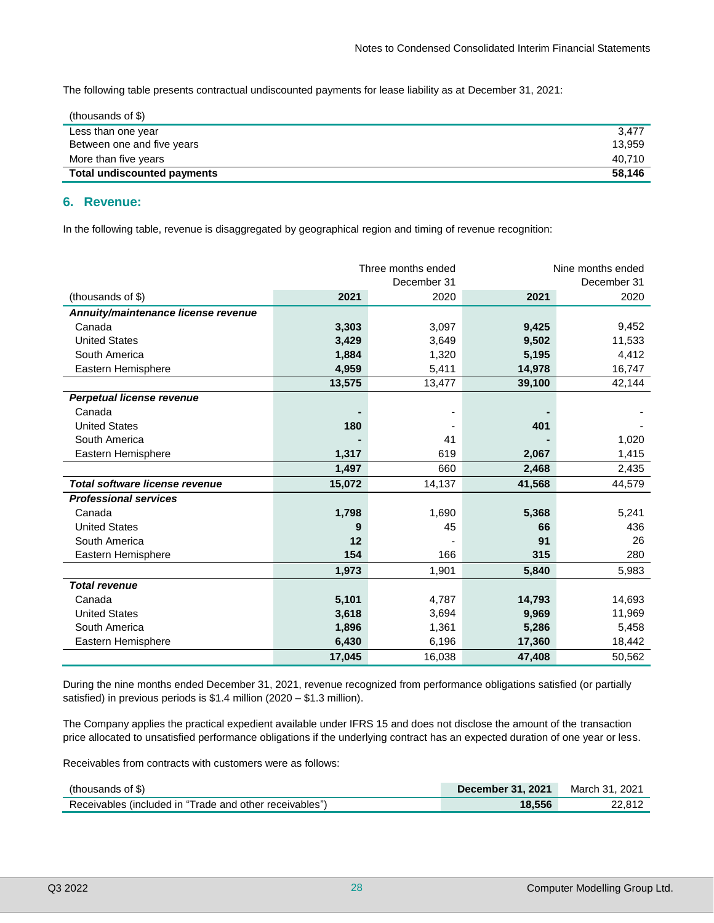The following table presents contractual undiscounted payments for lease liability as at December 31, 2021:

| (thousands of $$)$ )               |        |
|------------------------------------|--------|
| Less than one year                 | 3,477  |
| Between one and five years         | 13.959 |
| More than five years               | 40.710 |
| <b>Total undiscounted payments</b> | 58,146 |

#### **6. Revenue:**

In the following table, revenue is disaggregated by geographical region and timing of revenue recognition:

|                                     |        | Three months ended |        | Nine months ended |
|-------------------------------------|--------|--------------------|--------|-------------------|
|                                     |        | December 31        |        | December 31       |
| (thousands of \$)                   | 2021   | 2020               | 2021   | 2020              |
| Annuity/maintenance license revenue |        |                    |        |                   |
| Canada                              | 3,303  | 3,097              | 9,425  | 9,452             |
| <b>United States</b>                | 3,429  | 3,649              | 9,502  | 11,533            |
| South America                       | 1,884  | 1,320              | 5,195  | 4,412             |
| Eastern Hemisphere                  | 4,959  | 5,411              | 14,978 | 16,747            |
|                                     | 13,575 | 13,477             | 39,100 | 42,144            |
| <b>Perpetual license revenue</b>    |        |                    |        |                   |
| Canada                              |        |                    |        |                   |
| <b>United States</b>                | 180    |                    | 401    |                   |
| South America                       |        | 41                 |        | 1,020             |
| Eastern Hemisphere                  | 1,317  | 619                | 2,067  | 1,415             |
|                                     | 1,497  | 660                | 2,468  | 2,435             |
| Total software license revenue      | 15,072 | 14,137             | 41,568 | 44,579            |
| <b>Professional services</b>        |        |                    |        |                   |
| Canada                              | 1,798  | 1,690              | 5,368  | 5,241             |
| <b>United States</b>                | 9      | 45                 | 66     | 436               |
| South America                       | 12     |                    | 91     | 26                |
| Eastern Hemisphere                  | 154    | 166                | 315    | 280               |
|                                     | 1,973  | 1,901              | 5,840  | 5,983             |
| <b>Total revenue</b>                |        |                    |        |                   |
| Canada                              | 5,101  | 4,787              | 14,793 | 14,693            |
| <b>United States</b>                | 3,618  | 3,694              | 9,969  | 11,969            |
| South America                       | 1,896  | 1,361              | 5,286  | 5,458             |
| Eastern Hemisphere                  | 6,430  | 6,196              | 17,360 | 18,442            |
|                                     | 17,045 | 16,038             | 47,408 | 50,562            |

During the nine months ended December 31, 2021, revenue recognized from performance obligations satisfied (or partially satisfied) in previous periods is \$1.4 million (2020 – \$1.3 million).

The Company applies the practical expedient available under IFRS 15 and does not disclose the amount of the transaction price allocated to unsatisfied performance obligations if the underlying contract has an expected duration of one year or less.

Receivables from contracts with customers were as follows:

| (thousands of \$)                                       | <b>December 31, 2021</b> | March 31, 2021 |
|---------------------------------------------------------|--------------------------|----------------|
| Receivables (included in "Trade and other receivables") | 18.556                   | 22.812         |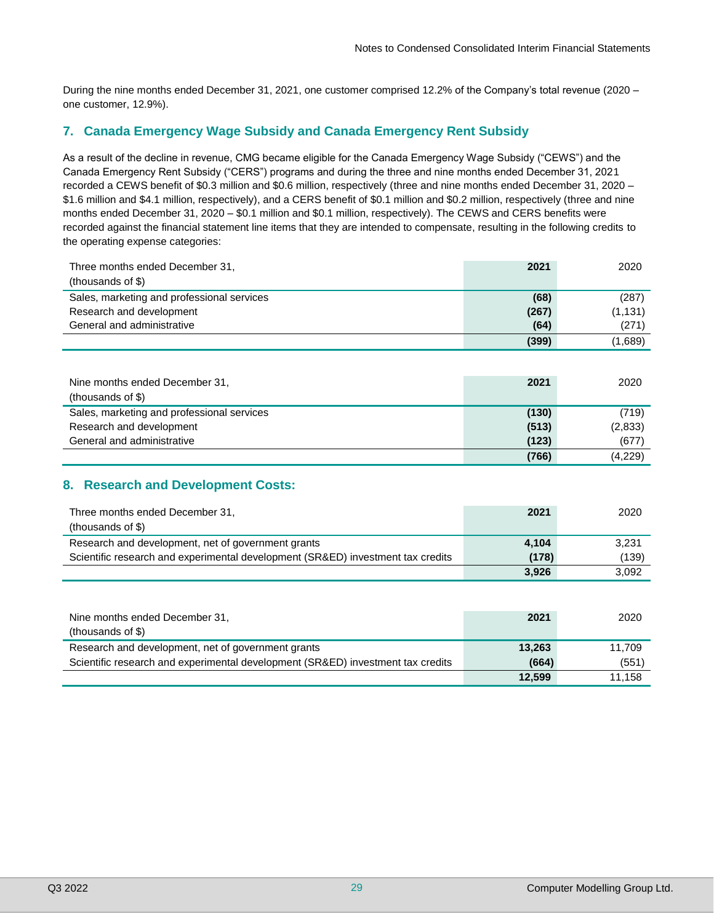During the nine months ended December 31, 2021, one customer comprised 12.2% of the Company's total revenue (2020 – one customer, 12.9%).

# **7. Canada Emergency Wage Subsidy and Canada Emergency Rent Subsidy**

As a result of the decline in revenue, CMG became eligible for the Canada Emergency Wage Subsidy ("CEWS") and the Canada Emergency Rent Subsidy ("CERS") programs and during the three and nine months ended December 31, 2021 recorded a CEWS benefit of \$0.3 million and \$0.6 million, respectively (three and nine months ended December 31, 2020 – \$1.6 million and \$4.1 million, respectively), and a CERS benefit of \$0.1 million and \$0.2 million, respectively (three and nine months ended December 31, 2020 – \$0.1 million and \$0.1 million, respectively). The CEWS and CERS benefits were recorded against the financial statement line items that they are intended to compensate, resulting in the following credits to the operating expense categories:

| Three months ended December 31,            | 2021  | 2020     |
|--------------------------------------------|-------|----------|
| (thousands of \$)                          |       |          |
| Sales, marketing and professional services | (68)  | (287)    |
| Research and development                   | (267) | (1, 131) |
| General and administrative                 | (64)  | (271)    |
|                                            | (399) | (1,689)  |

| Nine months ended December 31,<br>(thousands of $$)$ ) | 2021  | 2020    |
|--------------------------------------------------------|-------|---------|
| Sales, marketing and professional services             | (130) | (719)   |
| Research and development                               | (513) | (2,833) |
| General and administrative                             | (123) | (677)   |
|                                                        | (766) | (4,229) |

# **8. Research and Development Costs:**

| Three months ended December 31,<br>(thousands of $$)$ )                         | 2021  | 2020  |
|---------------------------------------------------------------------------------|-------|-------|
| Research and development, net of government grants                              | 4,104 | 3.231 |
| Scientific research and experimental development (SR&ED) investment tax credits | (178) | (139) |
|                                                                                 | 3,926 | 3.092 |

| Nine months ended December 31,<br>(thousands of $$)$ )                          | 2021   | 2020   |
|---------------------------------------------------------------------------------|--------|--------|
| Research and development, net of government grants                              | 13,263 | 11.709 |
| Scientific research and experimental development (SR&ED) investment tax credits | (664)  | (551)  |
|                                                                                 | 12.599 | 11.158 |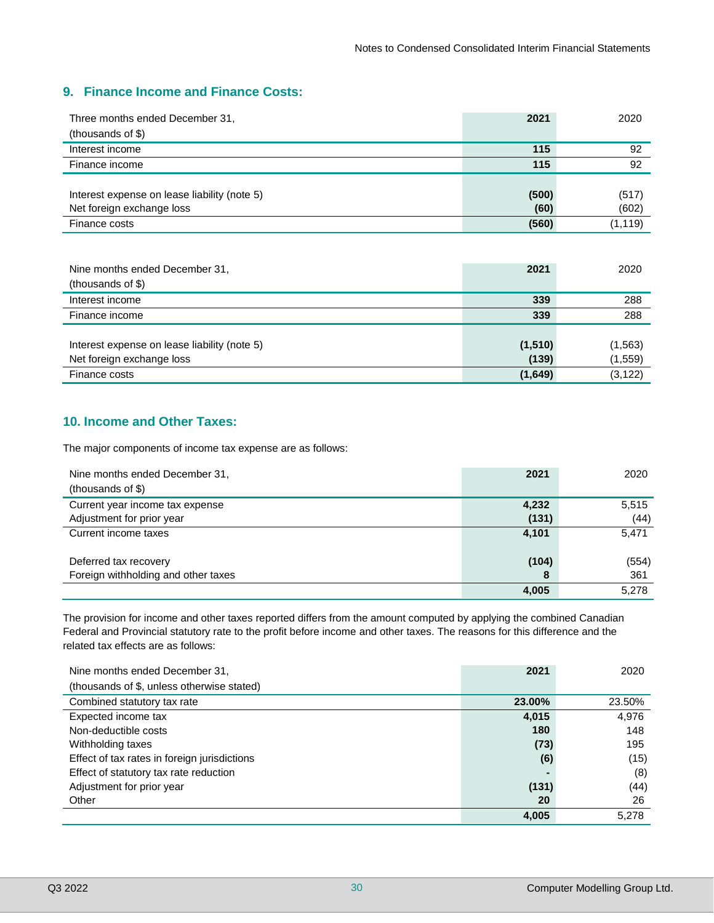# **9. Finance Income and Finance Costs:**

| Three months ended December 31,              | 2021  | 2020     |
|----------------------------------------------|-------|----------|
| (thousands of \$)                            |       |          |
| Interest income                              | 115   | 92       |
| Finance income                               | 115   | 92       |
|                                              |       |          |
| Interest expense on lease liability (note 5) | (500) | (517)    |
| Net foreign exchange loss                    | (60)  | (602)    |
| Finance costs                                | (560) | (1, 119) |

| Nine months ended December 31,<br>(thousands of \$) | 2021    | 2020     |
|-----------------------------------------------------|---------|----------|
| Interest income                                     | 339     | 288      |
| Finance income                                      | 339     | 288      |
|                                                     |         |          |
| Interest expense on lease liability (note 5)        | (1,510) | (1,563)  |
| Net foreign exchange loss                           | (139)   | (1, 559) |
| Finance costs                                       | (1,649) | (3, 122) |

# **10. Income and Other Taxes:**

The major components of income tax expense are as follows:

| Nine months ended December 31.      | 2021  | 2020  |
|-------------------------------------|-------|-------|
| (thousands of \$)                   |       |       |
| Current year income tax expense     | 4,232 | 5,515 |
| Adjustment for prior year           | (131) | (44)  |
| Current income taxes                | 4,101 | 5,471 |
|                                     |       |       |
| Deferred tax recovery               | (104) | (554) |
| Foreign withholding and other taxes | 8     | 361   |
|                                     | 4,005 | 5,278 |

The provision for income and other taxes reported differs from the amount computed by applying the combined Canadian Federal and Provincial statutory rate to the profit before income and other taxes. The reasons for this difference and the related tax effects are as follows:

| Nine months ended December 31.               | 2021   | 2020   |
|----------------------------------------------|--------|--------|
| (thousands of \$, unless otherwise stated)   |        |        |
| Combined statutory tax rate                  | 23.00% | 23.50% |
| Expected income tax                          | 4,015  | 4,976  |
| Non-deductible costs                         | 180    | 148    |
| Withholding taxes                            | (73)   | 195    |
| Effect of tax rates in foreign jurisdictions | (6)    | (15)   |
| Effect of statutory tax rate reduction       |        | (8)    |
| Adjustment for prior year                    | (131)  | (44)   |
| Other                                        | 20     | 26     |
|                                              | 4,005  | 5,278  |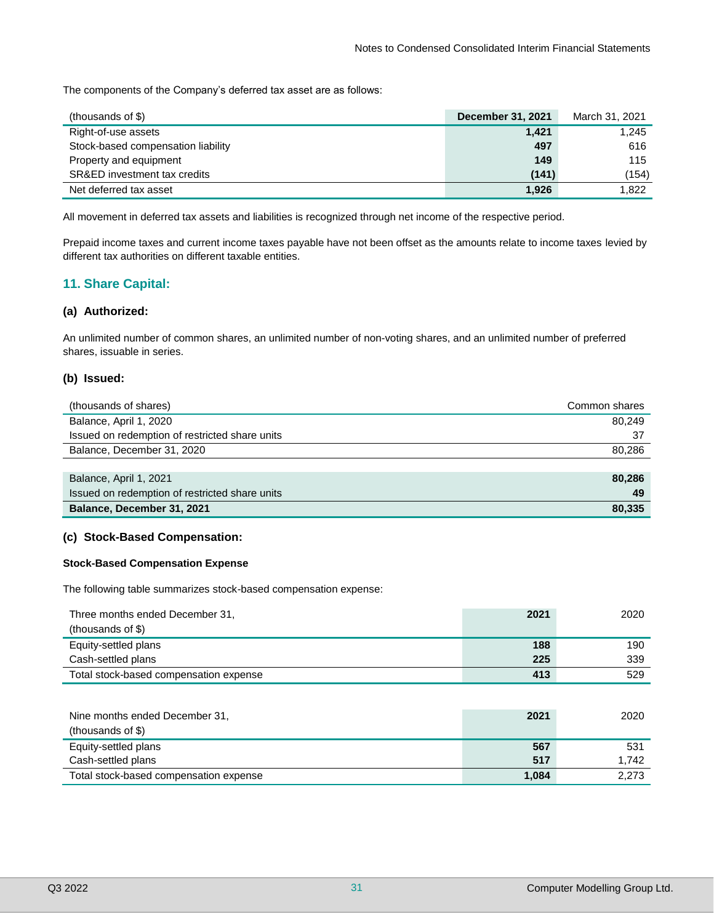The components of the Company's deferred tax asset are as follows:

| (thousands of $$)$ )               | <b>December 31, 2021</b> | March 31, 2021 |
|------------------------------------|--------------------------|----------------|
| Right-of-use assets                | 1,421                    | 1.245          |
| Stock-based compensation liability | 497                      | 616            |
| Property and equipment             | 149                      | 115            |
| SR&ED investment tax credits       | (141)                    | (154)          |
| Net deferred tax asset             | 1,926                    | 1.822          |

All movement in deferred tax assets and liabilities is recognized through net income of the respective period.

Prepaid income taxes and current income taxes payable have not been offset as the amounts relate to income taxes levied by different tax authorities on different taxable entities.

# **11. Share Capital:**

#### **(a) Authorized:**

An unlimited number of common shares, an unlimited number of non-voting shares, and an unlimited number of preferred shares, issuable in series.

#### **(b) Issued:**

| (thousands of shares)                          | Common shares |
|------------------------------------------------|---------------|
| Balance, April 1, 2020                         | 80.249        |
| Issued on redemption of restricted share units | 37            |
| Balance, December 31, 2020                     | 80.286        |
|                                                |               |
| Balance, April 1, 2021                         | 80,286        |
| Issued on redemption of restricted share units | 49            |

**Balance, December 31, 2021 80,335**

#### **(c) Stock-Based Compensation:**

#### **Stock-Based Compensation Expense**

The following table summarizes stock-based compensation expense:

| Three months ended December 31,        | 2021 | 2020 |
|----------------------------------------|------|------|
| (thousands of \$)                      |      |      |
| Equity-settled plans                   | 188  | 190  |
| Cash-settled plans                     | 225  | 339  |
| Total stock-based compensation expense | 413  | 529  |

| Nine months ended December 31,         | 2021  | 2020  |
|----------------------------------------|-------|-------|
| (thousands of \$)                      |       |       |
| Equity-settled plans                   | 567   | 531   |
| Cash-settled plans                     | 517   | 1.742 |
| Total stock-based compensation expense | 1,084 | 2.273 |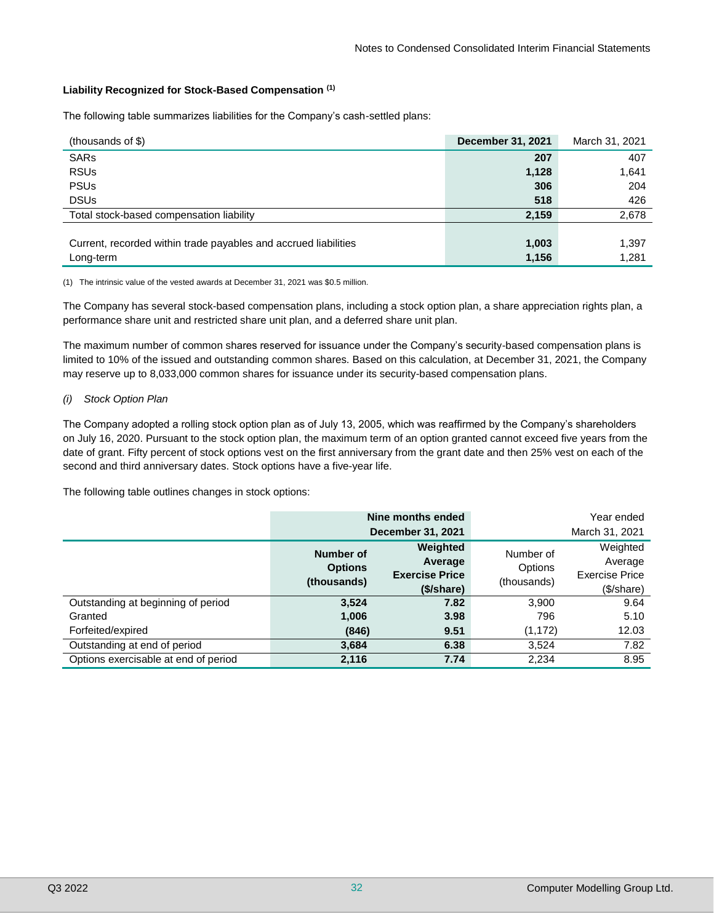#### **Liability Recognized for Stock-Based Compensation (1)**

The following table summarizes liabilities for the Company's cash-settled plans:

| (thousands of \$)                                               | <b>December 31, 2021</b> | March 31, 2021 |
|-----------------------------------------------------------------|--------------------------|----------------|
| <b>SARs</b>                                                     | 207                      | 407            |
| <b>RSUs</b>                                                     | 1,128                    | 1,641          |
| <b>PSUs</b>                                                     | 306                      | 204            |
| <b>DSUs</b>                                                     | 518                      | 426            |
| Total stock-based compensation liability                        | 2,159                    | 2,678          |
|                                                                 |                          |                |
| Current, recorded within trade payables and accrued liabilities | 1,003                    | 1,397          |
| Long-term                                                       | 1,156                    | 1,281          |

(1) The intrinsic value of the vested awards at December 31, 2021 was \$0.5 million.

The Company has several stock-based compensation plans, including a stock option plan, a share appreciation rights plan, a performance share unit and restricted share unit plan, and a deferred share unit plan.

The maximum number of common shares reserved for issuance under the Company's security-based compensation plans is limited to 10% of the issued and outstanding common shares. Based on this calculation, at December 31, 2021, the Company may reserve up to 8,033,000 common shares for issuance under its security-based compensation plans.

#### *(i) Stock Option Plan*

The Company adopted a rolling stock option plan as of July 13, 2005, which was reaffirmed by the Company's shareholders on July 16, 2020. Pursuant to the stock option plan, the maximum term of an option granted cannot exceed five years from the date of grant. Fifty percent of stock options vest on the first anniversary from the grant date and then 25% vest on each of the second and third anniversary dates. Stock options have a five-year life.

The following table outlines changes in stock options:

|                                      | Nine months ended |                       |             | Year ended            |
|--------------------------------------|-------------------|-----------------------|-------------|-----------------------|
|                                      |                   | December 31, 2021     |             | March 31, 2021        |
|                                      | Number of         | Weighted              | Number of   | Weighted              |
|                                      | <b>Options</b>    | Average               | Options     | Average               |
|                                      | (thousands)       | <b>Exercise Price</b> | (thousands) | <b>Exercise Price</b> |
|                                      |                   | (\$/share)            |             | (\$/share)            |
| Outstanding at beginning of period   | 3,524             | 7.82                  | 3,900       | 9.64                  |
| Granted                              | 1,006             | 3.98                  | 796         | 5.10                  |
| Forfeited/expired                    | (846)             | 9.51                  | (1, 172)    | 12.03                 |
| Outstanding at end of period         | 3,684             | 6.38                  | 3,524       | 7.82                  |
| Options exercisable at end of period | 2,116             | 7.74                  | 2,234       | 8.95                  |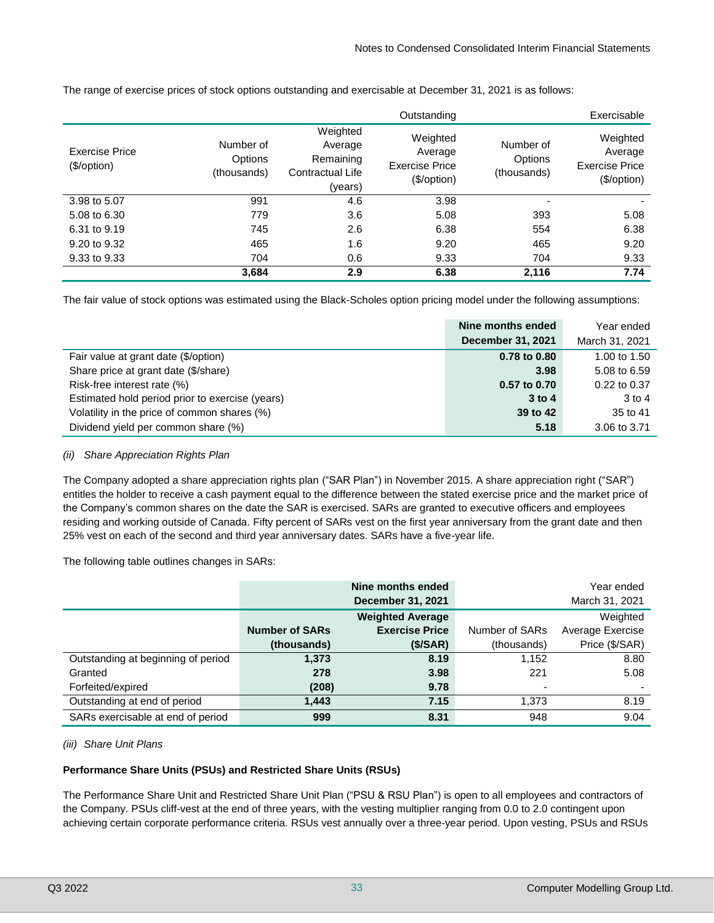|                               |                                            |                                                                        | Outstanding                                                 |                                     | Exercisable                                          |
|-------------------------------|--------------------------------------------|------------------------------------------------------------------------|-------------------------------------------------------------|-------------------------------------|------------------------------------------------------|
| Exercise Price<br>(\$/option) | Number of<br><b>Options</b><br>(thousands) | Weighted<br>Average<br>Remaining<br><b>Contractual Life</b><br>(years) | Weighted<br>Average<br><b>Exercise Price</b><br>(\$/option) | Number of<br>Options<br>(thousands) | Weighted<br>Average<br>Exercise Price<br>(\$/option) |
| 3.98 to 5.07                  | 991                                        | 4.6                                                                    | 3.98                                                        |                                     |                                                      |
| 5.08 to 6.30                  | 779                                        | 3.6                                                                    | 5.08                                                        | 393                                 | 5.08                                                 |
| 6.31 to 9.19                  | 745                                        | 2.6                                                                    | 6.38                                                        | 554                                 | 6.38                                                 |
| 9.20 to 9.32                  | 465                                        | 1.6                                                                    | 9.20                                                        | 465                                 | 9.20                                                 |
| 9.33 to 9.33                  | 704                                        | 0.6                                                                    | 9.33                                                        | 704                                 | 9.33                                                 |
|                               | 3,684                                      | 2.9                                                                    | 6.38                                                        | 2,116                               | 7.74                                                 |

The range of exercise prices of stock options outstanding and exercisable at December 31, 2021 is as follows:

The fair value of stock options was estimated using the Black-Scholes option pricing model under the following assumptions:

|                                                 | Nine months ended | Year ended     |
|-------------------------------------------------|-------------------|----------------|
|                                                 | December 31, 2021 | March 31, 2021 |
| Fair value at grant date (\$/option)            | 0.78 to 0.80      | 1.00 to 1.50   |
| Share price at grant date (\$/share)            | 3.98              | 5.08 to 6.59   |
| Risk-free interest rate (%)                     | 0.57 to 0.70      | 0.22 to 0.37   |
| Estimated hold period prior to exercise (years) | $3$ to 4          | $3$ to 4       |
| Volatility in the price of common shares (%)    | 39 to 42          | 35 to 41       |
| Dividend yield per common share (%)             | 5.18              | 3.06 to 3.71   |

#### *(ii) Share Appreciation Rights Plan*

The Company adopted a share appreciation rights plan ("SAR Plan") in November 2015. A share appreciation right ("SAR") entitles the holder to receive a cash payment equal to the difference between the stated exercise price and the market price of the Company's common shares on the date the SAR is exercised. SARs are granted to executive officers and employees residing and working outside of Canada. Fifty percent of SARs vest on the first year anniversary from the grant date and then 25% vest on each of the second and third year anniversary dates. SARs have a five-year life.

The following table outlines changes in SARs:

|                                    |                       | Nine months ended<br><b>December 31, 2021</b> |                          | Year ended<br>March 31, 2021 |
|------------------------------------|-----------------------|-----------------------------------------------|--------------------------|------------------------------|
|                                    |                       | <b>Weighted Average</b>                       |                          | Weighted                     |
|                                    | <b>Number of SARs</b> | <b>Exercise Price</b>                         | Number of SARs           | Average Exercise             |
|                                    | (thousands)           | (\$/SAR)                                      | (thousands)              | Price (\$/SAR)               |
| Outstanding at beginning of period | 1,373                 | 8.19                                          | 1,152                    | 8.80                         |
| Granted                            | 278                   | 3.98                                          | 221                      | 5.08                         |
| Forfeited/expired                  | (208)                 | 9.78                                          | $\overline{\phantom{0}}$ |                              |
| Outstanding at end of period       | 1.443                 | 7.15                                          | 1.373                    | 8.19                         |
| SARs exercisable at end of period  | 999                   | 8.31                                          | 948                      | 9.04                         |

#### *(iii) Share Unit Plans*

#### **Performance Share Units (PSUs) and Restricted Share Units (RSUs)**

The Performance Share Unit and Restricted Share Unit Plan ("PSU & RSU Plan") is open to all employees and contractors of the Company. PSUs cliff-vest at the end of three years, with the vesting multiplier ranging from 0.0 to 2.0 contingent upon achieving certain corporate performance criteria. RSUs vest annually over a three-year period. Upon vesting, PSUs and RSUs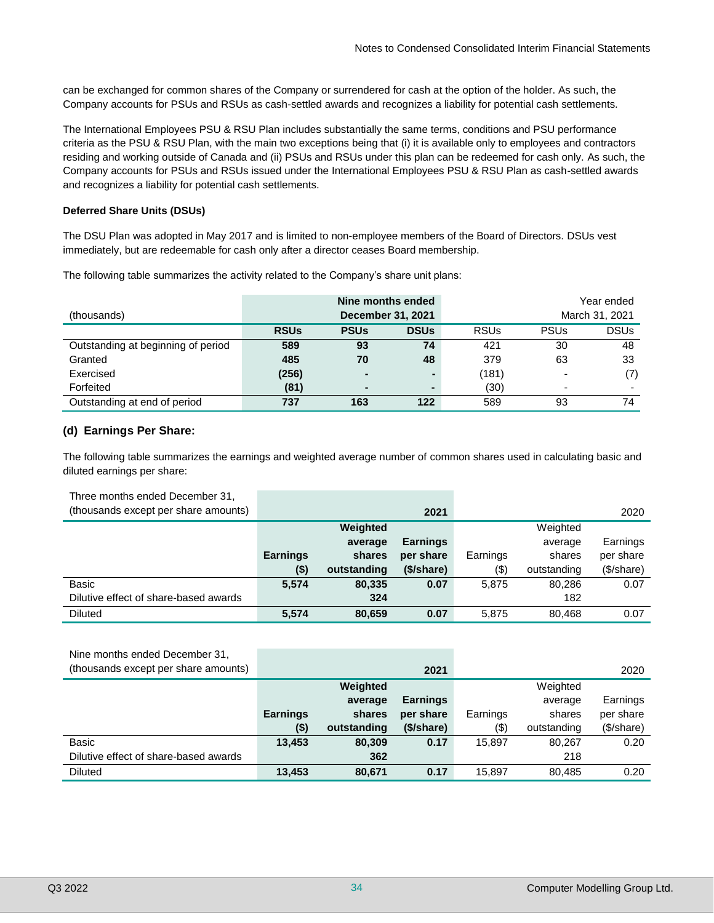can be exchanged for common shares of the Company or surrendered for cash at the option of the holder. As such, the Company accounts for PSUs and RSUs as cash-settled awards and recognizes a liability for potential cash settlements.

The International Employees PSU & RSU Plan includes substantially the same terms, conditions and PSU performance criteria as the PSU & RSU Plan, with the main two exceptions being that (i) it is available only to employees and contractors residing and working outside of Canada and (ii) PSUs and RSUs under this plan can be redeemed for cash only. As such, the Company accounts for PSUs and RSUs issued under the International Employees PSU & RSU Plan as cash-settled awards and recognizes a liability for potential cash settlements.

#### **Deferred Share Units (DSUs)**

The DSU Plan was adopted in May 2017 and is limited to non-employee members of the Board of Directors. DSUs vest immediately, but are redeemable for cash only after a director ceases Board membership.

The following table summarizes the activity related to the Company's share unit plans:

|                                    | Nine months ended |             |             |             | Year ended  |                          |
|------------------------------------|-------------------|-------------|-------------|-------------|-------------|--------------------------|
| (thousands)                        | December 31, 2021 |             |             |             |             | March 31, 2021           |
|                                    | <b>RSUs</b>       | <b>PSUs</b> | <b>DSUs</b> | <b>RSUs</b> | <b>PSUs</b> | <b>DSUs</b>              |
| Outstanding at beginning of period | 589               | 93          | 74          | 421         | 30          | 48                       |
| Granted                            | 485               | 70          | 48          | 379         | 63          | 33                       |
| Exercised                          | (256)             |             |             | (181)       |             | (7)                      |
| Forfeited                          | (81)              | -           |             | (30)        |             | $\overline{\phantom{0}}$ |
| Outstanding at end of period       | 737               | 163         | 122         | 589         | 93          | 74                       |

#### **(d) Earnings Per Share:**

The following table summarizes the earnings and weighted average number of common shares used in calculating basic and diluted earnings per share:

| Three months ended December 31,       |                 |             |                 |          |             |            |
|---------------------------------------|-----------------|-------------|-----------------|----------|-------------|------------|
| (thousands except per share amounts)  |                 |             | 2021            |          |             | 2020       |
|                                       |                 | Weighted    |                 |          | Weighted    |            |
|                                       |                 | average     | <b>Earnings</b> |          | average     | Earnings   |
|                                       | <b>Earnings</b> | shares      | per share       | Earnings | shares      | per share  |
|                                       | $($ \$)         | outstanding | (\$/share)      | (3)      | outstanding | (\$/share) |
| Basic                                 | 5,574           | 80,335      | 0.07            | 5.875    | 80,286      | 0.07       |
| Dilutive effect of share-based awards |                 | 324         |                 |          | 182         |            |
| <b>Diluted</b>                        | 5,574           | 80,659      | 0.07            | 5.875    | 80,468      | 0.07       |

| Nine months ended December 31,        |                 |             |                 |          |             |            |
|---------------------------------------|-----------------|-------------|-----------------|----------|-------------|------------|
| (thousands except per share amounts)  |                 |             | 2021            |          |             | 2020       |
|                                       |                 | Weighted    |                 |          | Weighted    |            |
|                                       |                 | average     | <b>Earnings</b> |          | average     | Earnings   |
|                                       | <b>Earnings</b> | shares      | per share       | Earnings | shares      | per share  |
|                                       | $($ \$)         | outstanding | (\$/share)      | (3)      | outstanding | (\$/share) |
| Basic                                 | 13,453          | 80,309      | 0.17            | 15.897   | 80,267      | 0.20       |
| Dilutive effect of share-based awards |                 | 362         |                 |          | 218         |            |
| <b>Diluted</b>                        | 13,453          | 80,671      | 0.17            | 15.897   | 80,485      | 0.20       |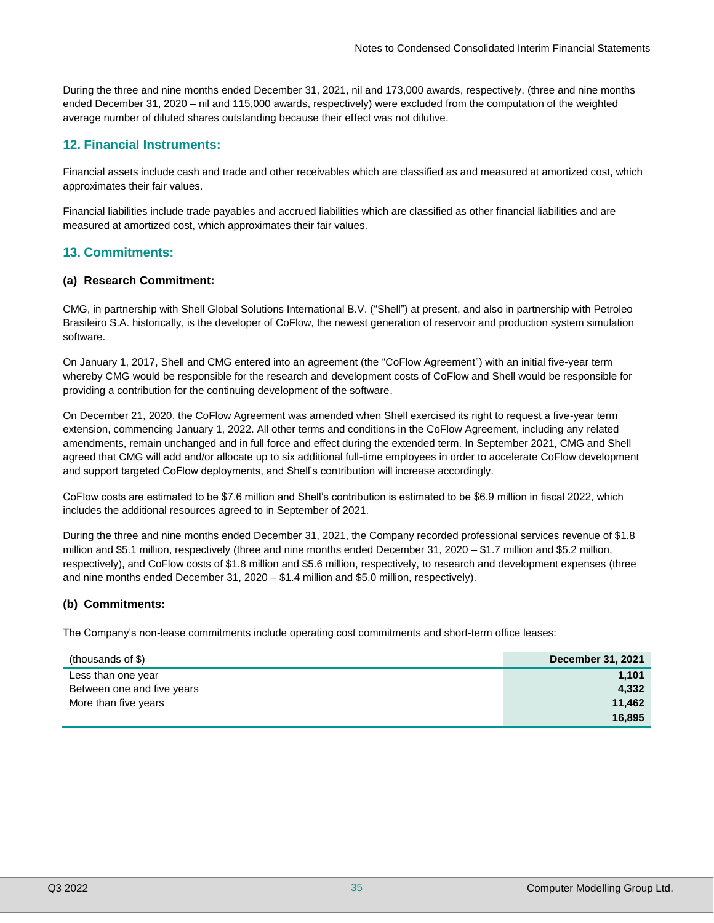During the three and nine months ended December 31, 2021, nil and 173,000 awards, respectively, (three and nine months ended December 31, 2020 – nil and 115,000 awards, respectively) were excluded from the computation of the weighted average number of diluted shares outstanding because their effect was not dilutive.

# **12. Financial Instruments:**

Financial assets include cash and trade and other receivables which are classified as and measured at amortized cost, which approximates their fair values.

Financial liabilities include trade payables and accrued liabilities which are classified as other financial liabilities and are measured at amortized cost, which approximates their fair values.

# **13. Commitments:**

#### **(a) Research Commitment:**

CMG, in partnership with Shell Global Solutions International B.V. ("Shell") at present, and also in partnership with Petroleo Brasileiro S.A. historically, is the developer of CoFlow, the newest generation of reservoir and production system simulation software.

On January 1, 2017, Shell and CMG entered into an agreement (the "CoFlow Agreement") with an initial five-year term whereby CMG would be responsible for the research and development costs of CoFlow and Shell would be responsible for providing a contribution for the continuing development of the software.

On December 21, 2020, the CoFlow Agreement was amended when Shell exercised its right to request a five-year term extension, commencing January 1, 2022. All other terms and conditions in the CoFlow Agreement, including any related amendments, remain unchanged and in full force and effect during the extended term. In September 2021, CMG and Shell agreed that CMG will add and/or allocate up to six additional full-time employees in order to accelerate CoFlow development and support targeted CoFlow deployments, and Shell's contribution will increase accordingly.

CoFlow costs are estimated to be \$7.6 million and Shell's contribution is estimated to be \$6.9 million in fiscal 2022, which includes the additional resources agreed to in September of 2021.

During the three and nine months ended December 31, 2021, the Company recorded professional services revenue of \$1.8 million and \$5.1 million, respectively (three and nine months ended December 31, 2020 – \$1.7 million and \$5.2 million, respectively), and CoFlow costs of \$1.8 million and \$5.6 million, respectively, to research and development expenses (three and nine months ended December 31, 2020 – \$1.4 million and \$5.0 million, respectively).

#### **(b) Commitments:**

The Company's non-lease commitments include operating cost commitments and short-term office leases:

| (thousands of \$)          | <b>December 31, 2021</b> |
|----------------------------|--------------------------|
| Less than one year         | 1.101                    |
| Between one and five years | 4,332                    |
| More than five years       | 11.462                   |
|                            | 16.895                   |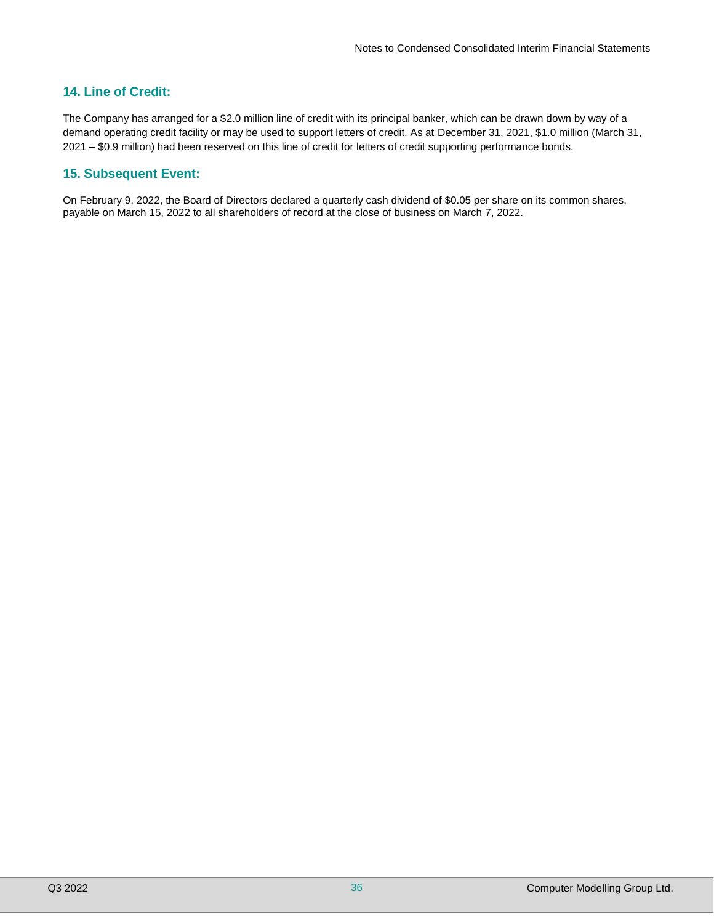## **14. Line of Credit:**

The Company has arranged for a \$2.0 million line of credit with its principal banker, which can be drawn down by way of a demand operating credit facility or may be used to support letters of credit. As at December 31, 2021, \$1.0 million (March 31, 2021 – \$0.9 million) had been reserved on this line of credit for letters of credit supporting performance bonds.

## **15. Subsequent Event:**

On February 9, 2022, the Board of Directors declared a quarterly cash dividend of \$0.05 per share on its common shares, payable on March 15, 2022 to all shareholders of record at the close of business on March 7, 2022.